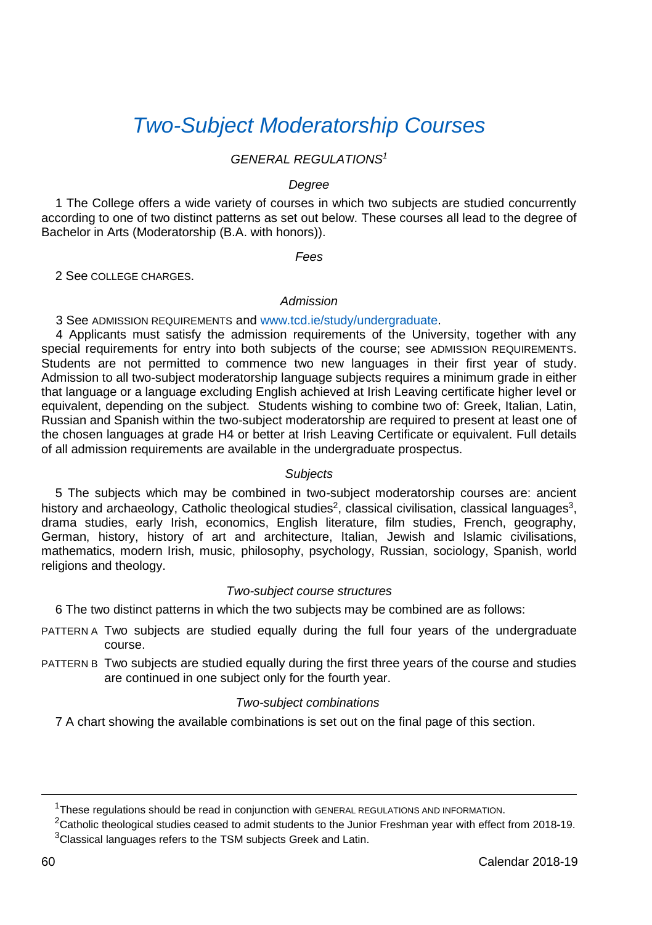# *[Two-Subject Moderatorship Courses](http://www.tcd.ie/TSM/)*

# *GENERAL REGULATIONS<sup>1</sup>*

#### *Degree*

 1 The College offers a wide variety of courses in which two subjects are studied concurrently according to one of two distinct patterns as set out below. These courses all lead to the degree of Bachelor in Arts (Moderatorship (B.A. with honors)).

*Fees* 

2 See COLLEGE CHARGES.

### *Admission*

3 See ADMISSION REQUIREMENTS an[d www.tcd.ie/study/undergraduate.](https://www.tcd.ie/study/undergraduate/)

 4 Applicants must satisfy the admission requirements of the University, together with any special requirements for entry into both subjects of the course; see ADMISSION REQUIREMENTS. Students are not permitted to commence two new languages in their first year of study. Admission to all two-subject moderatorship language subjects requires a minimum grade in either that language or a language excluding English achieved at Irish Leaving certificate higher level or equivalent, depending on the subject. Students wishing to combine two of: Greek, Italian, Latin, Russian and Spanish within the two-subject moderatorship are required to present at least one of the chosen languages at grade H4 or better at Irish Leaving Certificate or equivalent. Full details of all admission requirements are available in the undergraduate prospectus.

### *Subjects*

 5 The subjects which may be combined in two-subject moderatorship courses are: ancient history and archaeology, Catholic theological studies<sup>2</sup>, classical civilisation, classical languages<sup>3</sup>, drama studies, early Irish, economics, English literature, film studies, French, geography, German, history, history of art and architecture, Italian, Jewish and Islamic civilisations, mathematics, modern Irish, music, philosophy, psychology, Russian, sociology, Spanish, world religions and theology.

### *Two-subject course structures*

6 The two distinct patterns in which the two subjects may be combined are as follows:

- PATTERN A Two subjects are studied equally during the full four years of the undergraduate course.
- PATTERN B Two subjects are studied equally during the first three years of the course and studies are continued in one subject only for the fourth year.

### *Two-subject combinations*

7 A chart showing the available combinations is set out on the final page of this section.

<sup>&</sup>lt;sup>1</sup>These regulations should be read in conjunction with GENERAL REGULATIONS AND INFORMATION.

 ${}^{2}$ Catholic theological studies ceased to admit students to the Junior Freshman year with effect from 2018-19.  $3$ Classical languages refers to the TSM subjects Greek and Latin.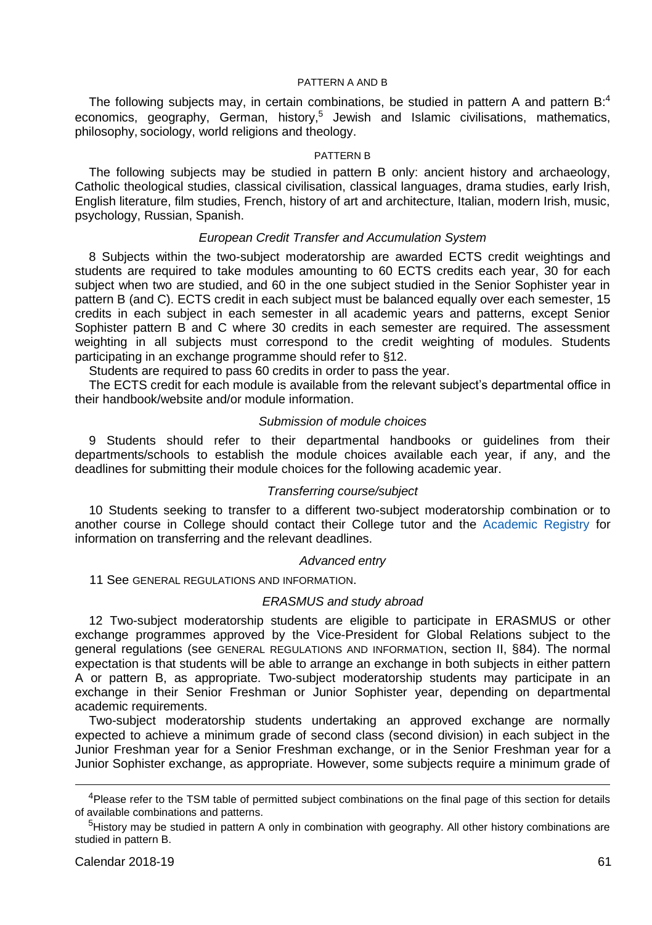#### PATTERN A AND B

The following subjects may, in certain combinations, be studied in pattern A and pattern  $B<sup>4</sup>$ economics, geography, German, history,<sup>5</sup> Jewish and Islamic civilisations, mathematics, philosophy, sociology, world religions and theology.

#### PATTERN B

The following subjects may be studied in pattern B only: ancient history and archaeology, Catholic theological studies, classical civilisation, classical languages, drama studies, early Irish, English literature, film studies, French, history of art and architecture, Italian, modern Irish, music, psychology, Russian, Spanish.

### *European Credit Transfer and Accumulation System*

8 Subjects within the two-subject moderatorship are awarded ECTS credit weightings and students are required to take modules amounting to 60 ECTS credits each year, 30 for each subject when two are studied, and 60 in the one subject studied in the Senior Sophister year in pattern B (and C). ECTS credit in each subject must be balanced equally over each semester, 15 credits in each subject in each semester in all academic years and patterns, except Senior Sophister pattern B and C where 30 credits in each semester are required. The assessment weighting in all subjects must correspond to the credit weighting of modules. Students participating in an exchange programme should refer to §12.

Students are required to pass 60 credits in order to pass the year.

The ECTS credit for each module is available from the relevant subject's departmental office in their handbook/website and/or module information.

### *Submission of module choices*

9 Students should refer to their departmental handbooks or guidelines from their departments/schools to establish the module choices available each year, if any, and the deadlines for submitting their module choices for the following academic year.

### *Transferring course/subject*

10 Students seeking to transfer to a different two-subject moderatorship combination or to another course in College should contact their College tutor and the [Academic Registry](https://www.tcd.ie/academicregistry/index.php) for information on transferring and the relevant deadlines.

#### *Advanced entry*

11 See GENERAL REGULATIONS AND INFORMATION.

#### *ERASMUS and study abroad*

12 Two-subject moderatorship students are eligible to participate in ERASMUS or other exchange programmes approved by the Vice-President for Global Relations subject to the general regulations (see GENERAL REGULATIONS AND INFORMATION, section II, §84). The normal expectation is that students will be able to arrange an exchange in both subjects in either pattern A or pattern B, as appropriate. Two-subject moderatorship students may participate in an exchange in their Senior Freshman or Junior Sophister year, depending on departmental academic requirements.

Two-subject moderatorship students undertaking an approved exchange are normally expected to achieve a minimum grade of second class (second division) in each subject in the Junior Freshman year for a Senior Freshman exchange, or in the Senior Freshman year for a Junior Sophister exchange, as appropriate. However, some subjects require a minimum grade of

j

<sup>&</sup>lt;sup>4</sup>Please refer to the TSM table of permitted subject combinations on the final page of this section for details of available combinations and patterns.

<sup>&</sup>lt;sup>5</sup>History may be studied in pattern A only in combination with geography. All other history combinations are studied in pattern B.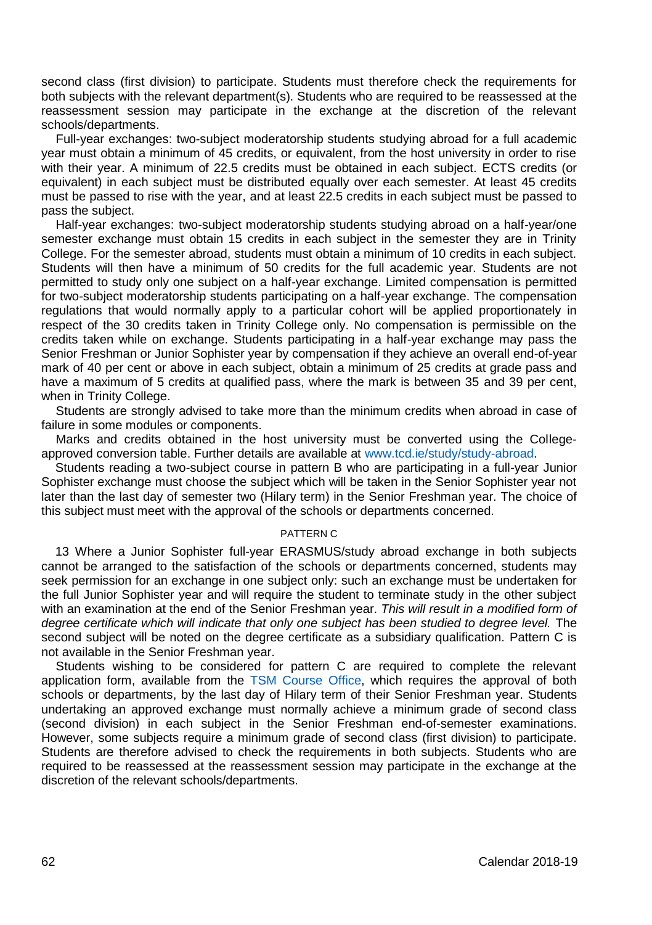second class (first division) to participate. Students must therefore check the requirements for both subjects with the relevant department(s). Students who are required to be reassessed at the reassessment session may participate in the exchange at the discretion of the relevant schools/departments.

Full-year exchanges: two-subject moderatorship students studying abroad for a full academic year must obtain a minimum of 45 credits, or equivalent, from the host university in order to rise with their year. A minimum of 22.5 credits must be obtained in each subject. ECTS credits (or equivalent) in each subject must be distributed equally over each semester. At least 45 credits must be passed to rise with the year, and at least 22.5 credits in each subject must be passed to pass the subject.

Half-year exchanges: two-subject moderatorship students studying abroad on a half-year/one semester exchange must obtain 15 credits in each subject in the semester they are in Trinity College. For the semester abroad, students must obtain a minimum of 10 credits in each subject. Students will then have a minimum of 50 credits for the full academic year. Students are not permitted to study only one subject on a half-year exchange. Limited compensation is permitted for two-subject moderatorship students participating on a half-year exchange. The compensation regulations that would normally apply to a particular cohort will be applied proportionately in respect of the 30 credits taken in Trinity College only. No compensation is permissible on the credits taken while on exchange. Students participating in a half-year exchange may pass the Senior Freshman or Junior Sophister year by compensation if they achieve an overall end-of-year mark of 40 per cent or above in each subject, obtain a minimum of 25 credits at grade pass and have a maximum of 5 credits at qualified pass, where the mark is between 35 and 39 per cent. when in Trinity College.

Students are strongly advised to take more than the minimum credits when abroad in case of failure in some modules or components.

Marks and credits obtained in the host university must be converted using the Collegeapproved conversion table. Further details are available at [www.tcd.ie/study/study-abroad.](https://www.tcd.ie/study/study-abroad)

Students reading a two-subject course in pattern B who are participating in a full-year Junior Sophister exchange must choose the subject which will be taken in the Senior Sophister year not later than the last day of semester two (Hilary term) in the Senior Freshman year. The choice of this subject must meet with the approval of the schools or departments concerned.

#### PATTERN C

13 Where a Junior Sophister full-year ERASMUS/study abroad exchange in both subjects cannot be arranged to the satisfaction of the schools or departments concerned, students may seek permission for an exchange in one subject only: such an exchange must be undertaken for the full Junior Sophister year and will require the student to terminate study in the other subject with an examination at the end of the Senior Freshman year. *This will result in a modified form of*  degree certificate which will indicate that only one subject has been studied to degree level. The second subject will be noted on the degree certificate as a subsidiary qualification. Pattern C is not available in the Senior Freshman year.

Students wishing to be considered for pattern C are required to complete the relevant application form, available from the [TSM Course Office,](http://www.tcd.ie/TSM/) which requires the approval of both schools or departments, by the last day of Hilary term of their Senior Freshman year. Students undertaking an approved exchange must normally achieve a minimum grade of second class (second division) in each subject in the Senior Freshman end-of-semester examinations. However, some subjects require a minimum grade of second class (first division) to participate. Students are therefore advised to check the requirements in both subjects. Students who are required to be reassessed at the reassessment session may participate in the exchange at the discretion of the relevant schools/departments.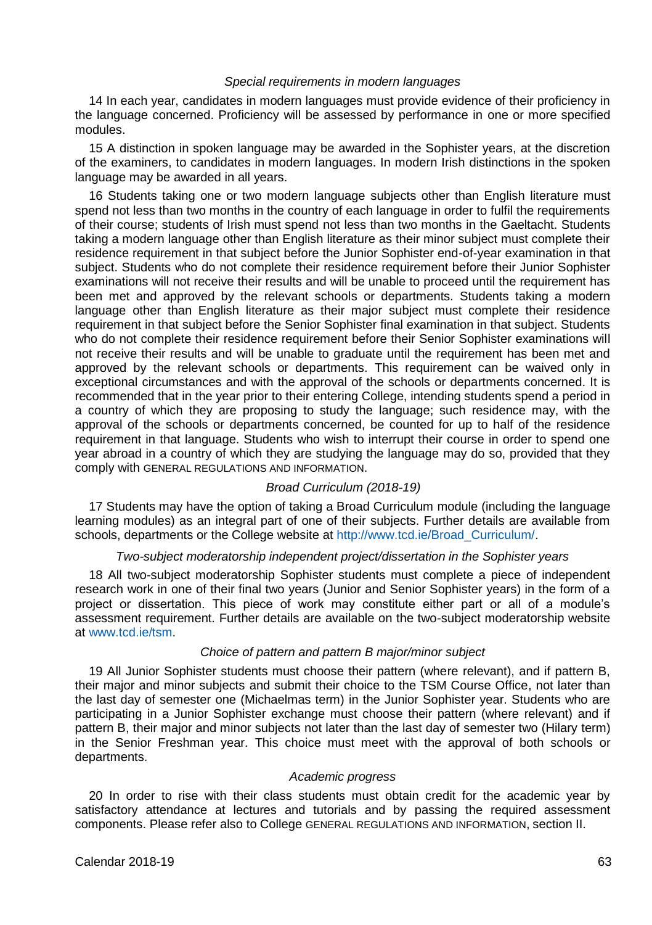### *Special requirements in modern languages*

 14 In each year, candidates in modern languages must provide evidence of their proficiency in the language concerned. Proficiency will be assessed by performance in one or more specified modules.

15 A distinction in spoken language may be awarded in the Sophister years, at the discretion of the examiners, to candidates in modern languages. In modern Irish distinctions in the spoken language may be awarded in all years.

 16 Students taking one or two modern language subjects other than English literature must spend not less than two months in the country of each language in order to fulfil the requirements of their course; students of Irish must spend not less than two months in the Gaeltacht. Students taking a modern language other than English literature as their minor subject must complete their residence requirement in that subject before the Junior Sophister end-of-year examination in that subject. Students who do not complete their residence requirement before their Junior Sophister examinations will not receive their results and will be unable to proceed until the requirement has been met and approved by the relevant schools or departments. Students taking a modern language other than English literature as their major subject must complete their residence requirement in that subject before the Senior Sophister final examination in that subject. Students who do not complete their residence requirement before their Senior Sophister examinations will not receive their results and will be unable to graduate until the requirement has been met and approved by the relevant schools or departments. This requirement can be waived only in exceptional circumstances and with the approval of the schools or departments concerned. It is recommended that in the year prior to their entering College, intending students spend a period in a country of which they are proposing to study the language; such residence may, with the approval of the schools or departments concerned, be counted for up to half of the residence requirement in that language. Students who wish to interrupt their course in order to spend one year abroad in a country of which they are studying the language may do so, provided that they comply with GENERAL REGULATIONS AND INFORMATION.

### *Broad Curriculum (2018-19)*

17 Students may have the option of taking a Broad Curriculum module (including the language learning modules) as an integral part of one of their subjects. Further details are available from schools, departments or the College website a[t http://www.tcd.ie/Broad\\_Curriculum/.](http://www.tcd.ie/Broad_Curriculum/) 

### *Two-subject moderatorship independent project/dissertation in the Sophister years*

 18 All two-subject moderatorship Sophister students must complete a piece of independent research work in one of their final two years (Junior and Senior Sophister years) in the form of a project or dissertation. This piece of work may constitute either part or all of a module's assessment requirement. Further details are available on the two-subject moderatorship website at [www.tcd.ie/tsm.](http://www.tcd.ie/TSM/)

### *Choice of pattern and pattern B major/minor subject*

 19 All Junior Sophister students must choose their pattern (where relevant), and if pattern B, their major and minor subjects and submit their choice to the TSM Course Office, not later than the last day of semester one (Michaelmas term) in the Junior Sophister year. Students who are participating in a Junior Sophister exchange must choose their pattern (where relevant) and if pattern B, their major and minor subjects not later than the last day of semester two (Hilary term) in the Senior Freshman year. This choice must meet with the approval of both schools or departments.

### *Academic progress*

20 In order to rise with their class students must obtain credit for the academic year by satisfactory attendance at lectures and tutorials and by passing the required assessment components. Please refer also to College GENERAL REGULATIONS AND INFORMATION, section II.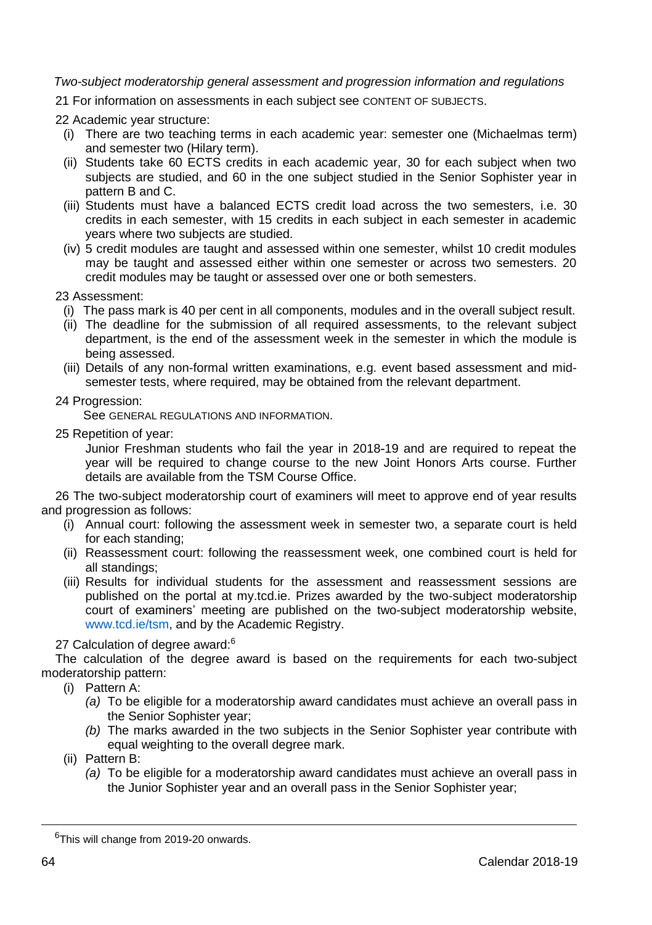# *Two-subject moderatorship general assessment and progression information and regulations*

21 For information on assessments in each subject see CONTENT OF SUBJECTS.

22 Academic year structure:

- (i) There are two teaching terms in each academic year: semester one (Michaelmas term) and semester two (Hilary term).
- (ii) Students take 60 ECTS credits in each academic year, 30 for each subject when two subjects are studied, and 60 in the one subject studied in the Senior Sophister year in pattern B and C.
- (iii) Students must have a balanced ECTS credit load across the two semesters, i.e. 30 credits in each semester, with 15 credits in each subject in each semester in academic years where two subjects are studied.
- (iv) 5 credit modules are taught and assessed within one semester, whilst 10 credit modules may be taught and assessed either within one semester or across two semesters. 20 credit modules may be taught or assessed over one or both semesters.

23 Assessment:

- (i) The pass mark is 40 per cent in all components, modules and in the overall subject result.
- (ii) The deadline for the submission of all required assessments, to the relevant subject department, is the end of the assessment week in the semester in which the module is being assessed.
- (iii) Details of any non-formal written examinations, e.g. event based assessment and midsemester tests, where required, may be obtained from the relevant department.

24 Progression:

See GENERAL REGULATIONS AND INFORMATION.

25 Repetition of year:

Junior Freshman students who fail the year in 2018-19 and are required to repeat the year will be required to change course to the new Joint Honors Arts course. Further details are available from the TSM Course Office.

 26 The two-subject moderatorship court of examiners will meet to approve end of year results and progression as follows:

- (i) Annual court: following the assessment week in semester two, a separate court is held for each standing;
- (ii) Reassessment court: following the reassessment week, one combined court is held for all standings;
- (iii) Results for individual students for the assessment and reassessment sessions are published on the portal at my.tcd.ie. Prizes awarded by the two-subject moderatorship court of examiners' meeting are published on the two-subject moderatorship website, [www.tcd.ie/tsm,](http://www.tcd.ie/TSM/) and by the Academic Registry.

## 27 Calculation of degree award:<sup>6</sup>

 The calculation of the degree award is based on the requirements for each two-subject moderatorship pattern:

- (i) Pattern A:
	- *(a)* To be eligible for a moderatorship award candidates must achieve an overall pass in the Senior Sophister year;
	- *(b)* The marks awarded in the two subjects in the Senior Sophister year contribute with equal weighting to the overall degree mark.

(ii) Pattern B:

*(a)* To be eligible for a moderatorship award candidates must achieve an overall pass in the Junior Sophister year and an overall pass in the Senior Sophister year;

<sup>&</sup>lt;sup>6</sup>This will change from 2019-20 onwards.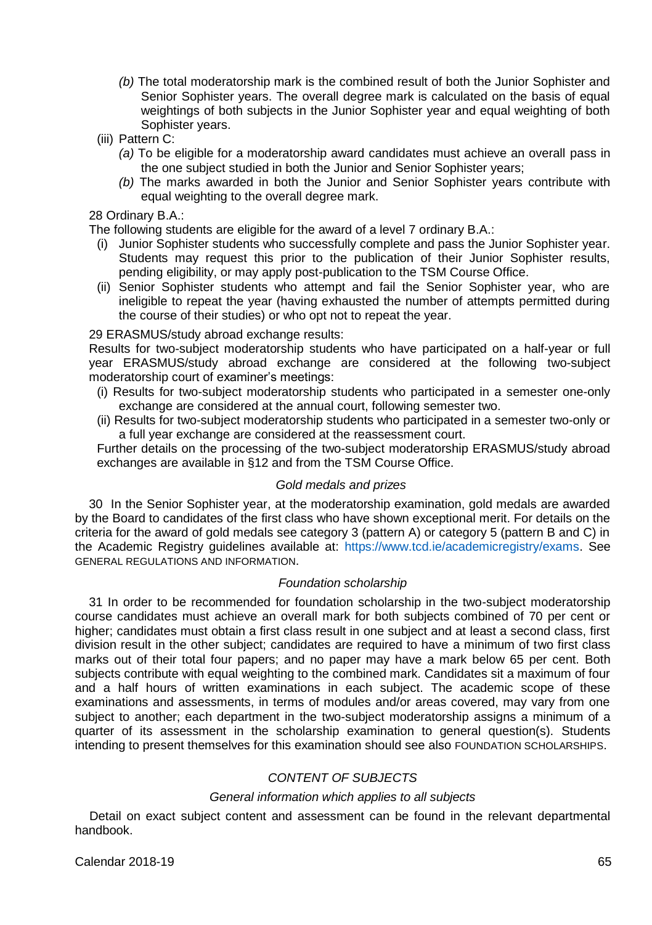- *(b)* The total moderatorship mark is the combined result of both the Junior Sophister and Senior Sophister years. The overall degree mark is calculated on the basis of equal weightings of both subjects in the Junior Sophister year and equal weighting of both Sophister years.
- (iii) Pattern C:
	- *(a)* To be eligible for a moderatorship award candidates must achieve an overall pass in the one subject studied in both the Junior and Senior Sophister years;
	- *(b)* The marks awarded in both the Junior and Senior Sophister years contribute with equal weighting to the overall degree mark.

### 28 Ordinary B.A.:

The following students are eligible for the award of a level 7 ordinary B.A.:

- (i) Junior Sophister students who successfully complete and pass the Junior Sophister year. Students may request this prior to the publication of their Junior Sophister results, pending eligibility, or may apply post-publication to the TSM Course Office.
- (ii) Senior Sophister students who attempt and fail the Senior Sophister year, who are ineligible to repeat the year (having exhausted the number of attempts permitted during the course of their studies) or who opt not to repeat the year.

### 29 ERASMUS/study abroad exchange results:

Results for two-subject moderatorship students who have participated on a half-year or full year ERASMUS/study abroad exchange are considered at the following two-subject moderatorship court of examiner's meetings:

- (i) Results for two-subject moderatorship students who participated in a semester one-only exchange are considered at the annual court, following semester two.
- (ii) Results for two-subject moderatorship students who participated in a semester two-only or a full year exchange are considered at the reassessment court.

Further details on the processing of the two-subject moderatorship ERASMUS/study abroad exchanges are available in §12 and from the TSM Course Office.

### *Gold medals and prizes*

30 In the Senior Sophister year, at the moderatorship examination, gold medals are awarded by the Board to candidates of the first class who have shown exceptional merit. For details on the criteria for the award of gold medals see category 3 (pattern A) or category 5 (pattern B and C) in the Academic Registry guidelines available at: [https://www.tcd.ie/academicregistry/exams.](https://www.tcd.ie/academicregistry/exams/prizes) See GENERAL REGULATIONS AND INFORMATION.

### *Foundation scholarship*

31 In order to be recommended for foundation scholarship in the two-subject moderatorship course candidates must achieve an overall mark for both subjects combined of 70 per cent or higher; candidates must obtain a first class result in one subject and at least a second class, first division result in the other subject; candidates are required to have a minimum of two first class marks out of their total four papers; and no paper may have a mark below 65 per cent. Both subiects contribute with equal weighting to the combined mark. Candidates sit a maximum of four and a half hours of written examinations in each subject. The academic scope of these examinations and assessments, in terms of modules and/or areas covered, may vary from one subject to another; each department in the two-subject moderatorship assigns a minimum of a quarter of its assessment in the scholarship examination to general question(s). Students intending to present themselves for this examination should see also FOUNDATION SCHOLARSHIPS.

# *CONTENT OF SUBJECTS*

### *General information which applies to all subjects*

Detail on exact subject content and assessment can be found in the relevant departmental handbook.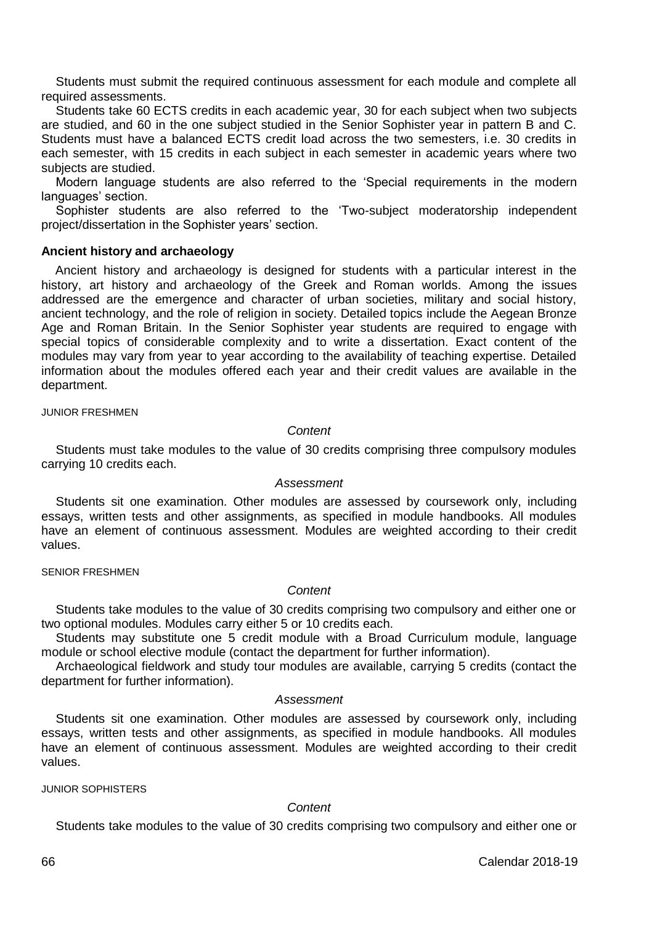Students must submit the required continuous assessment for each module and complete all required assessments.

Students take 60 ECTS credits in each academic year, 30 for each subject when two subjects are studied, and 60 in the one subject studied in the Senior Sophister year in pattern B and C. Students must have a balanced ECTS credit load across the two semesters, i.e. 30 credits in each semester, with 15 credits in each subject in each semester in academic years where two subjects are studied.

Modern language students are also referred to the 'Special requirements in the modern languages' section.

Sophister students are also referred to the 'Two-subject moderatorship independent project/dissertation in the Sophister years' section.

#### **Ancient history and archaeology**

Ancient history and archaeology is designed for students with a particular interest in the history, art history and archaeology of the Greek and Roman worlds. Among the issues addressed are the emergence and character of urban societies, military and social history, ancient technology, and the role of religion in society. Detailed topics include the Aegean Bronze Age and Roman Britain. In the Senior Sophister year students are required to engage with special topics of considerable complexity and to write a dissertation. Exact content of the modules may vary from year to year according to the availability of teaching expertise. Detailed information about the modules offered each year and their credit values are available in the department.

JUNIOR FRESHMEN

### *Content*

Students must take modules to the value of 30 credits comprising three compulsory modules carrying 10 credits each.

### *Assessment*

Students sit one examination. Other modules are assessed by coursework only, including essays, written tests and other assignments, as specified in module handbooks. All modules have an element of continuous assessment. Modules are weighted according to their credit values.

#### SENIOR FRESHMEN

#### *Content*

Students take modules to the value of 30 credits comprising two compulsory and either one or two optional modules. Modules carry either 5 or 10 credits each.

Students may substitute one 5 credit module with a Broad Curriculum module, language module or school elective module (contact the department for further information).

Archaeological fieldwork and study tour modules are available, carrying 5 credits (contact the department for further information).

#### *Assessment*

Students sit one examination. Other modules are assessed by coursework only, including essays, written tests and other assignments, as specified in module handbooks. All modules have an element of continuous assessment. Modules are weighted according to their credit values.

JUNIOR SOPHISTERS

#### *Content*

Students take modules to the value of 30 credits comprising two compulsory and either one or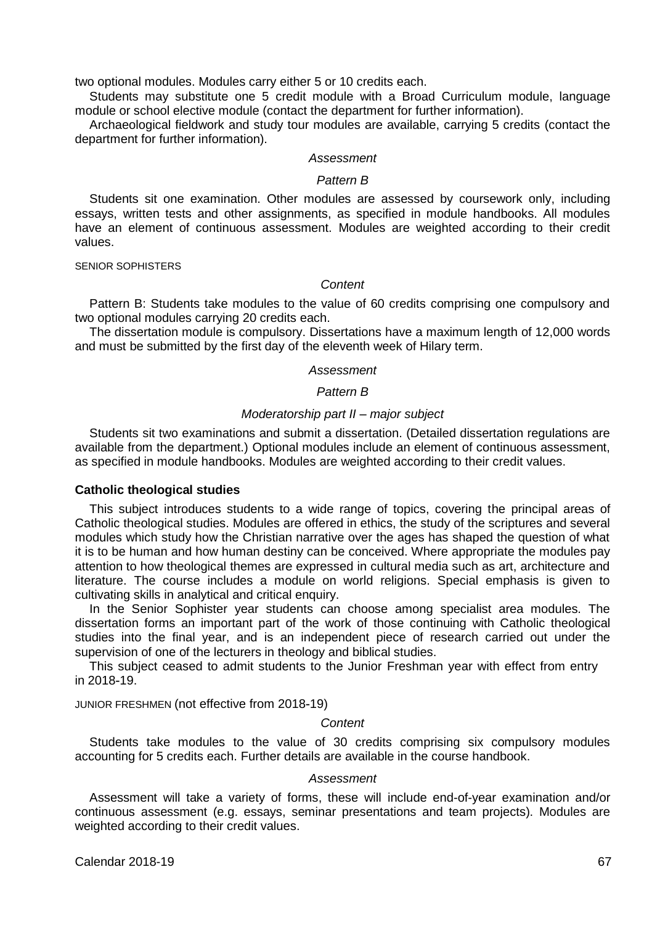two optional modules. Modules carry either 5 or 10 credits each.

 Students may substitute one 5 credit module with a Broad Curriculum module, language module or school elective module (contact the department for further information).

 Archaeological fieldwork and study tour modules are available, carrying 5 credits (contact the department for further information).

#### *Assessment*

### *Pattern B*

 Students sit one examination. Other modules are assessed by coursework only, including essays, written tests and other assignments, as specified in module handbooks. All modules have an element of continuous assessment. Modules are weighted according to their credit values.

### SENIOR SOPHISTERS

### *Content*

 Pattern B: Students take modules to the value of 60 credits comprising one compulsory and two optional modules carrying 20 credits each.

 The dissertation module is compulsory. Dissertations have a maximum length of 12,000 words and must be submitted by the first day of the eleventh week of Hilary term.

### *Assessment*

### *Pattern B*

### *Moderatorship part II – major subject*

 Students sit two examinations and submit a dissertation. (Detailed dissertation regulations are available from the department.) Optional modules include an element of continuous assessment, as specified in module handbooks. Modules are weighted according to their credit values.

#### **Catholic theological studies**

 This subject introduces students to a wide range of topics, covering the principal areas of Catholic theological studies. Modules are offered in ethics, the study of the scriptures and several modules which study how the Christian narrative over the ages has shaped the question of what it is to be human and how human destiny can be conceived. Where appropriate the modules pay attention to how theological themes are expressed in cultural media such as art, architecture and literature. The course includes a module on world religions. Special emphasis is given to cultivating skills in analytical and critical enquiry.

 In the Senior Sophister year students can choose among specialist area modules. The dissertation forms an important part of the work of those continuing with Catholic theological studies into the final year, and is an independent piece of research carried out under the supervision of one of the lecturers in theology and biblical studies.

This subject ceased to admit students to the Junior Freshman year with effect from entry in 2018-19.

JUNIOR FRESHMEN (not effective from 2018-19)

#### *Content*

 Students take modules to the value of 30 credits comprising six compulsory modules accounting for 5 credits each. Further details are available in the course handbook.

#### *Assessment*

 Assessment will take a variety of forms, these will include end-of-year examination and/or continuous assessment (e.g. essays, seminar presentations and team projects). Modules are weighted according to their credit values.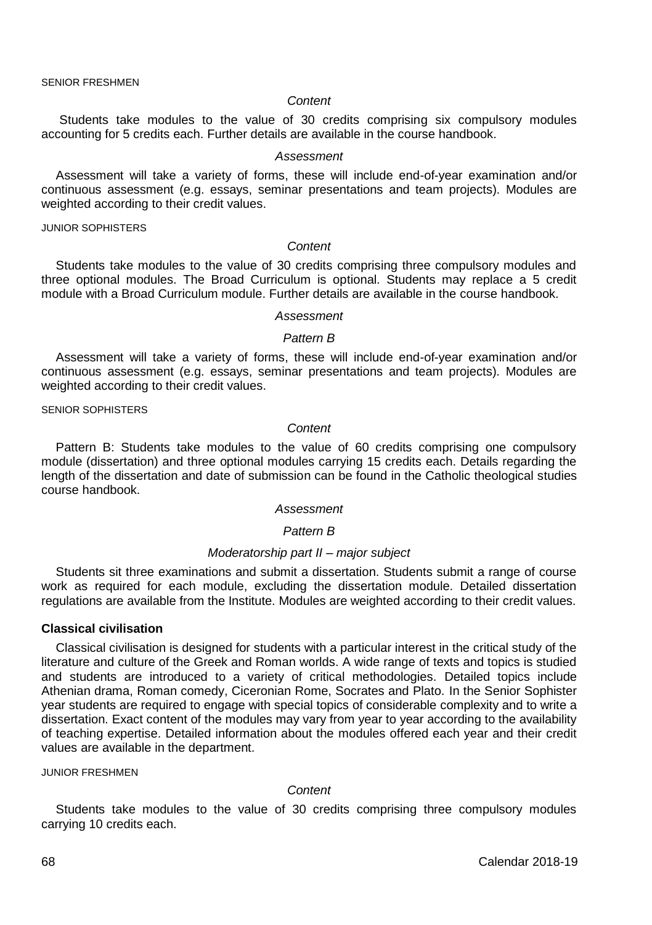SENIOR FRESHMEN

#### *Content*

Students take modules to the value of 30 credits comprising six compulsory modules accounting for 5 credits each. Further details are available in the course handbook.

#### *Assessment*

Assessment will take a variety of forms, these will include end-of-year examination and/or continuous assessment (e.g. essays, seminar presentations and team projects). Modules are weighted according to their credit values.

#### JUNIOR SOPHISTERS

#### *Content*

Students take modules to the value of 30 credits comprising three compulsory modules and three optional modules. The Broad Curriculum is optional. Students may replace a 5 credit module with a Broad Curriculum module. Further details are available in the course handbook.

### *Assessment*

### *Pattern B*

Assessment will take a variety of forms, these will include end-of-year examination and/or continuous assessment (e.g. essays, seminar presentations and team projects). Modules are weighted according to their credit values.

SENIOR SOPHISTERS

### *Content*

Pattern B: Students take modules to the value of 60 credits comprising one compulsory module (dissertation) and three optional modules carrying 15 credits each. Details regarding the length of the dissertation and date of submission can be found in the Catholic theological studies course handbook.

#### *Assessment*

### *Pattern B*

### *Moderatorship part II – major subject*

Students sit three examinations and submit a dissertation. Students submit a range of course work as required for each module, excluding the dissertation module. Detailed dissertation regulations are available from the Institute. Modules are weighted according to their credit values.

#### **Classical civilisation**

Classical civilisation is designed for students with a particular interest in the critical study of the literature and culture of the Greek and Roman worlds. A wide range of texts and topics is studied and students are introduced to a variety of critical methodologies. Detailed topics include Athenian drama, Roman comedy, Ciceronian Rome, Socrates and Plato. In the Senior Sophister year students are required to engage with special topics of considerable complexity and to write a dissertation. Exact content of the modules may vary from year to year according to the availability of teaching expertise. Detailed information about the modules offered each year and their credit values are available in the department.

#### JUNIOR FRESHMEN

*Content*

Students take modules to the value of 30 credits comprising three compulsory modules carrying 10 credits each.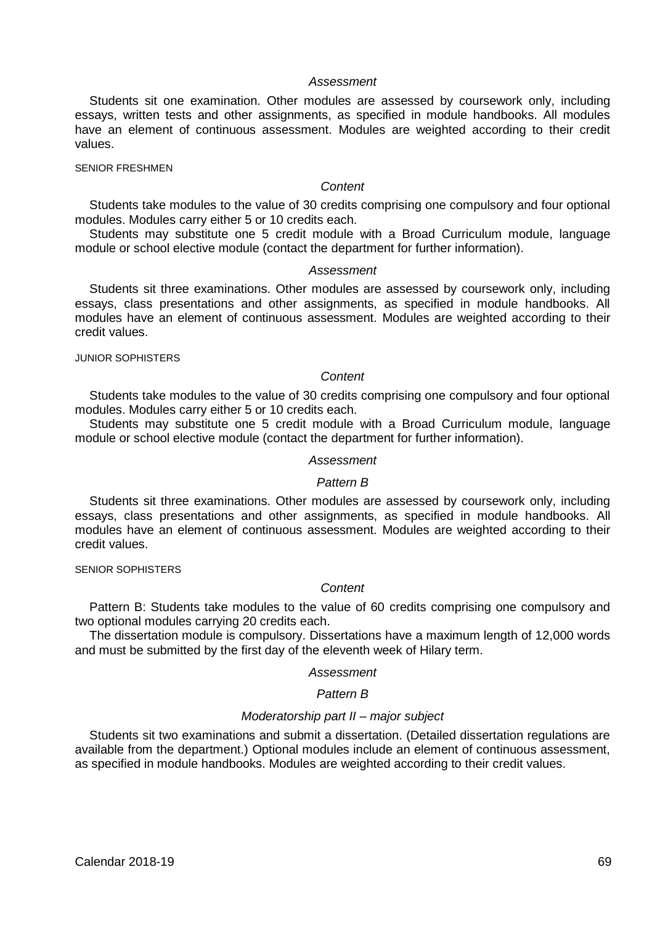Students sit one examination. Other modules are assessed by coursework only, including essays, written tests and other assignments, as specified in module handbooks. All modules have an element of continuous assessment. Modules are weighted according to their credit values.

### SENIOR FRESHMEN

### *Content*

Students take modules to the value of 30 credits comprising one compulsory and four optional modules. Modules carry either 5 or 10 credits each.

Students may substitute one 5 credit module with a Broad Curriculum module, language module or school elective module (contact the department for further information).

### *Assessment*

Students sit three examinations. Other modules are assessed by coursework only, including essays, class presentations and other assignments, as specified in module handbooks. All modules have an element of continuous assessment. Modules are weighted according to their credit values.

## JUNIOR SOPHISTERS

### *Content*

Students take modules to the value of 30 credits comprising one compulsory and four optional modules. Modules carry either 5 or 10 credits each.

Students may substitute one 5 credit module with a Broad Curriculum module, language module or school elective module (contact the department for further information).

#### *Assessment*

#### *Pattern B*

Students sit three examinations. Other modules are assessed by coursework only, including essays, class presentations and other assignments, as specified in module handbooks. All modules have an element of continuous assessment. Modules are weighted according to their credit values.

### SENIOR SOPHISTERS

### *Content*

Pattern B: Students take modules to the value of 60 credits comprising one compulsory and two optional modules carrying 20 credits each.

The dissertation module is compulsory. Dissertations have a maximum length of 12,000 words and must be submitted by the first day of the eleventh week of Hilary term.

#### *Assessment*

#### *Pattern B*

### *Moderatorship part II – major subject*

Students sit two examinations and submit a dissertation. (Detailed dissertation regulations are available from the department.) Optional modules include an element of continuous assessment, as specified in module handbooks. Modules are weighted according to their credit values.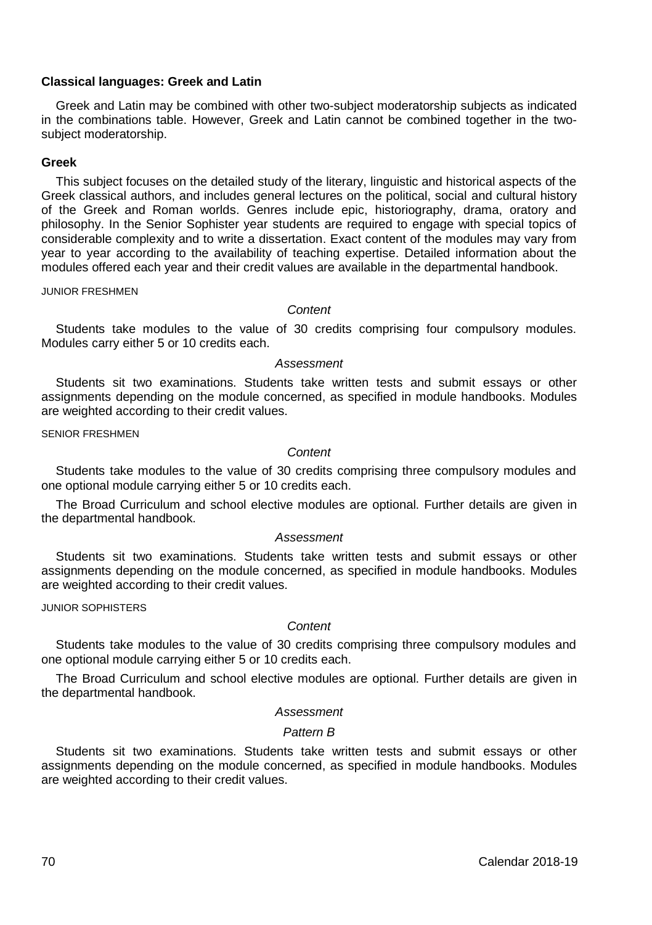### **Classical languages: Greek and Latin**

Greek and Latin may be combined with other two-subject moderatorship subjects as indicated in the combinations table. However, Greek and Latin cannot be combined together in the twosubject moderatorship.

### **Greek**

This subject focuses on the detailed study of the literary, linguistic and historical aspects of the Greek classical authors, and includes general lectures on the political, social and cultural history of the Greek and Roman worlds. Genres include epic, historiography, drama, oratory and philosophy. In the Senior Sophister year students are required to engage with special topics of considerable complexity and to write a dissertation. Exact content of the modules may vary from year to year according to the availability of teaching expertise. Detailed information about the modules offered each year and their credit values are available in the departmental handbook.

JUNIOR FRESHMEN

#### *Content*

Students take modules to the value of 30 credits comprising four compulsory modules. Modules carry either 5 or 10 credits each.

*Assessment*

Students sit two examinations. Students take written tests and submit essays or other assignments depending on the module concerned, as specified in module handbooks. Modules are weighted according to their credit values.

SENIOR FRESHMEN

### *Content*

Students take modules to the value of 30 credits comprising three compulsory modules and one optional module carrying either 5 or 10 credits each.

The Broad Curriculum and school elective modules are optional. Further details are given in the departmental handbook.

#### *Assessment*

Students sit two examinations. Students take written tests and submit essays or other assignments depending on the module concerned, as specified in module handbooks. Modules are weighted according to their credit values.

JUNIOR SOPHISTERS

### *Content*

Students take modules to the value of 30 credits comprising three compulsory modules and one optional module carrying either 5 or 10 credits each.

The Broad Curriculum and school elective modules are optional. Further details are given in the departmental handbook.

#### *Assessment*

### *Pattern B*

Students sit two examinations. Students take written tests and submit essays or other assignments depending on the module concerned, as specified in module handbooks. Modules are weighted according to their credit values.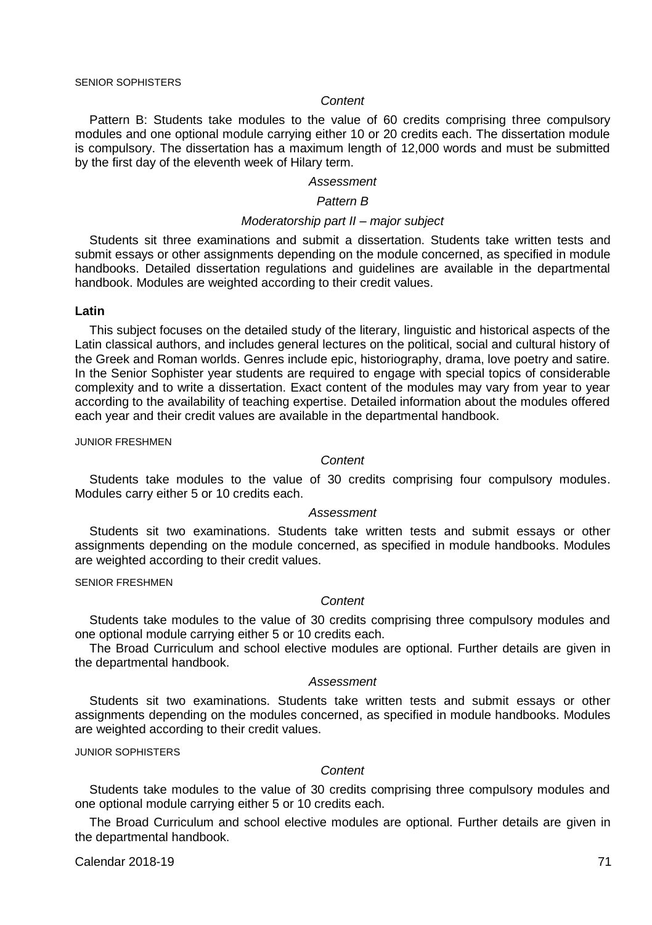#### *Content*

Pattern B: Students take modules to the value of 60 credits comprising three compulsory modules and one optional module carrying either 10 or 20 credits each. The dissertation module is compulsory. The dissertation has a maximum length of 12,000 words and must be submitted by the first day of the eleventh week of Hilary term.

#### *Assessment*

### *Pattern B*

#### *Moderatorship part II – major subject*

Students sit three examinations and submit a dissertation. Students take written tests and submit essays or other assignments depending on the module concerned, as specified in module handbooks. Detailed dissertation regulations and guidelines are available in the departmental handbook. Modules are weighted according to their credit values.

### **Latin**

This subject focuses on the detailed study of the literary, linguistic and historical aspects of the Latin classical authors, and includes general lectures on the political, social and cultural history of the Greek and Roman worlds. Genres include epic, historiography, drama, love poetry and satire. In the Senior Sophister year students are required to engage with special topics of considerable complexity and to write a dissertation. Exact content of the modules may vary from year to year according to the availability of teaching expertise. Detailed information about the modules offered each year and their credit values are available in the departmental handbook.

#### JUNIOR FRESHMEN

### *Content*

Students take modules to the value of 30 credits comprising four compulsory modules. Modules carry either 5 or 10 credits each.

#### *Assessment*

Students sit two examinations. Students take written tests and submit essays or other assignments depending on the module concerned, as specified in module handbooks. Modules are weighted according to their credit values.

### SENIOR FRESHMEN

#### *Content*

Students take modules to the value of 30 credits comprising three compulsory modules and one optional module carrying either 5 or 10 credits each.

The Broad Curriculum and school elective modules are optional. Further details are given in the departmental handbook.

### *Assessment*

Students sit two examinations. Students take written tests and submit essays or other assignments depending on the modules concerned, as specified in module handbooks. Modules are weighted according to their credit values.

#### JUNIOR SOPHISTERS

#### *Content*

Students take modules to the value of 30 credits comprising three compulsory modules and one optional module carrying either 5 or 10 credits each.

The Broad Curriculum and school elective modules are optional. Further details are given in the departmental handbook.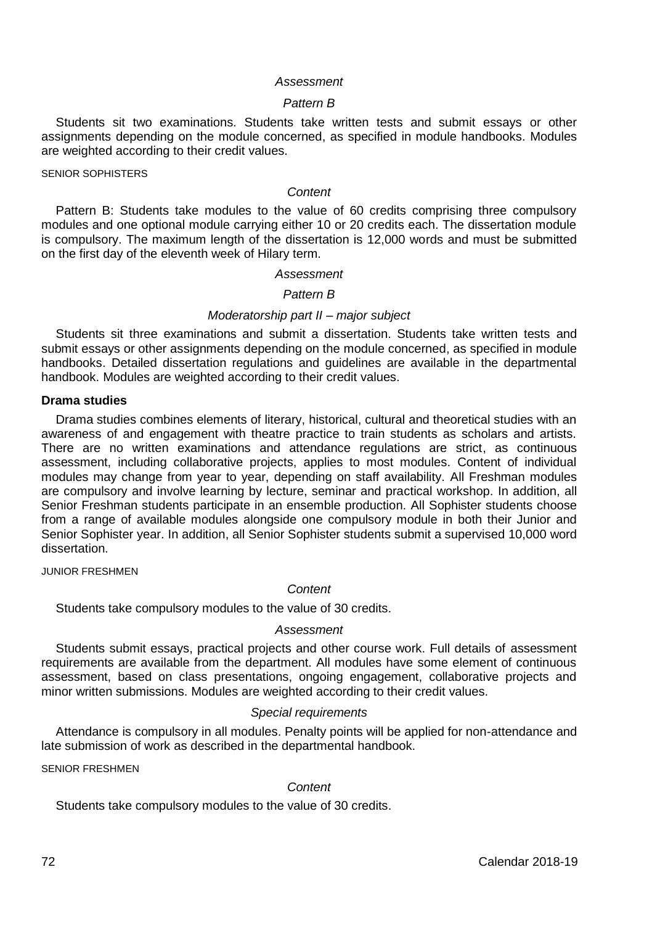#### *Pattern B*

Students sit two examinations. Students take written tests and submit essays or other assignments depending on the module concerned, as specified in module handbooks. Modules are weighted according to their credit values.

#### SENIOR SOPHISTERS

#### *Content*

Pattern B: Students take modules to the value of 60 credits comprising three compulsory modules and one optional module carrying either 10 or 20 credits each. The dissertation module is compulsory. The maximum length of the dissertation is 12,000 words and must be submitted on the first day of the eleventh week of Hilary term.

### *Assessment*

### *Pattern B*

### *Moderatorship part II – major subject*

Students sit three examinations and submit a dissertation. Students take written tests and submit essays or other assignments depending on the module concerned, as specified in module handbooks. Detailed dissertation regulations and guidelines are available in the departmental handbook. Modules are weighted according to their credit values.

#### **Drama studies**

Drama studies combines elements of literary, historical, cultural and theoretical studies with an awareness of and engagement with theatre practice to train students as scholars and artists. There are no written examinations and attendance regulations are strict, as continuous assessment, including collaborative projects, applies to most modules. Content of individual modules may change from year to year, depending on staff availability. All Freshman modules are compulsory and involve learning by lecture, seminar and practical workshop. In addition, all Senior Freshman students participate in an ensemble production. All Sophister students choose from a range of available modules alongside one compulsory module in both their Junior and Senior Sophister year. In addition, all Senior Sophister students submit a supervised 10,000 word dissertation.

JUNIOR FRESHMEN

### *Content*

Students take compulsory modules to the value of 30 credits.

#### *Assessment*

Students submit essays, practical projects and other course work. Full details of assessment requirements are available from the department. All modules have some element of continuous assessment, based on class presentations, ongoing engagement, collaborative projects and minor written submissions. Modules are weighted according to their credit values.

#### *Special requirements*

Attendance is compulsory in all modules. Penalty points will be applied for non-attendance and late submission of work as described in the departmental handbook.

SENIOR FRESHMEN

#### *Content*

Students take compulsory modules to the value of 30 credits.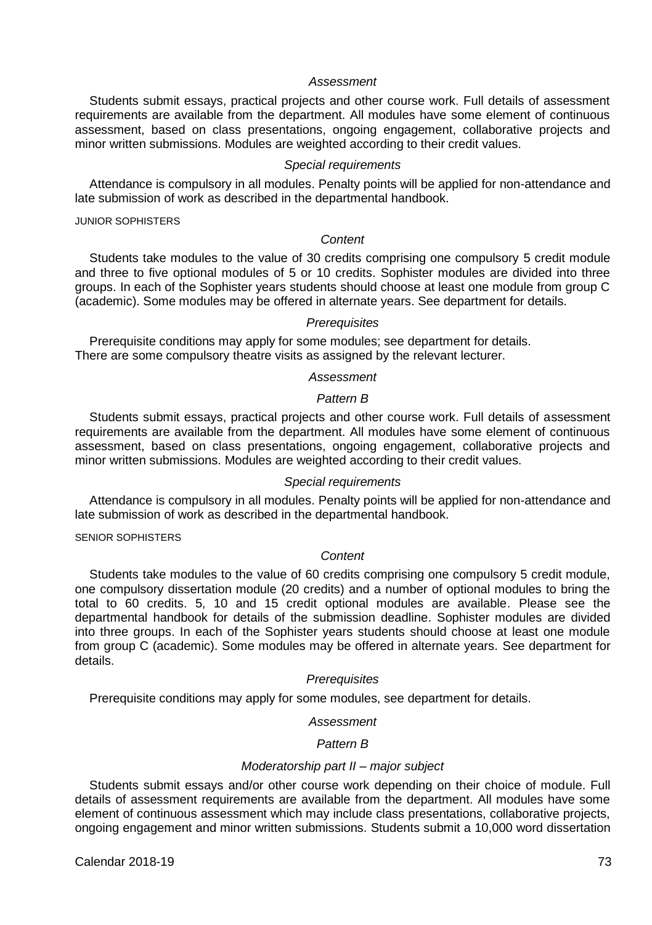Students submit essays, practical projects and other course work. Full details of assessment requirements are available from the department. All modules have some element of continuous assessment, based on class presentations, ongoing engagement, collaborative projects and minor written submissions. Modules are weighted according to their credit values.

#### *Special requirements*

Attendance is compulsory in all modules. Penalty points will be applied for non-attendance and late submission of work as described in the departmental handbook.

JUNIOR SOPHISTERS

### *Content*

Students take modules to the value of 30 credits comprising one compulsory 5 credit module and three to five optional modules of 5 or 10 credits. Sophister modules are divided into three groups. In each of the Sophister years students should choose at least one module from group C (academic). Some modules may be offered in alternate years. See department for details.

### *Prerequisites*

Prerequisite conditions may apply for some modules; see department for details. There are some compulsory theatre visits as assigned by the relevant lecturer.

### *Assessment*

### *Pattern B*

Students submit essays, practical projects and other course work. Full details of assessment requirements are available from the department. All modules have some element of continuous assessment, based on class presentations, ongoing engagement, collaborative projects and minor written submissions. Modules are weighted according to their credit values.

### *Special requirements*

Attendance is compulsory in all modules. Penalty points will be applied for non-attendance and late submission of work as described in the departmental handbook.

#### SENIOR SOPHISTERS

### *Content*

Students take modules to the value of 60 credits comprising one compulsory 5 credit module, one compulsory dissertation module (20 credits) and a number of optional modules to bring the total to 60 credits. 5, 10 and 15 credit optional modules are available. Please see the departmental handbook for details of the submission deadline. Sophister modules are divided into three groups. In each of the Sophister years students should choose at least one module from group C (academic). Some modules may be offered in alternate years. See department for details.

### *Prerequisites*

Prerequisite conditions may apply for some modules, see department for details.

#### *Assessment*

### *Pattern B*

### *Moderatorship part II – major subject*

Students submit essays and/or other course work depending on their choice of module. Full details of assessment requirements are available from the department. All modules have some element of continuous assessment which may include class presentations, collaborative projects, ongoing engagement and minor written submissions. Students submit a 10,000 word dissertation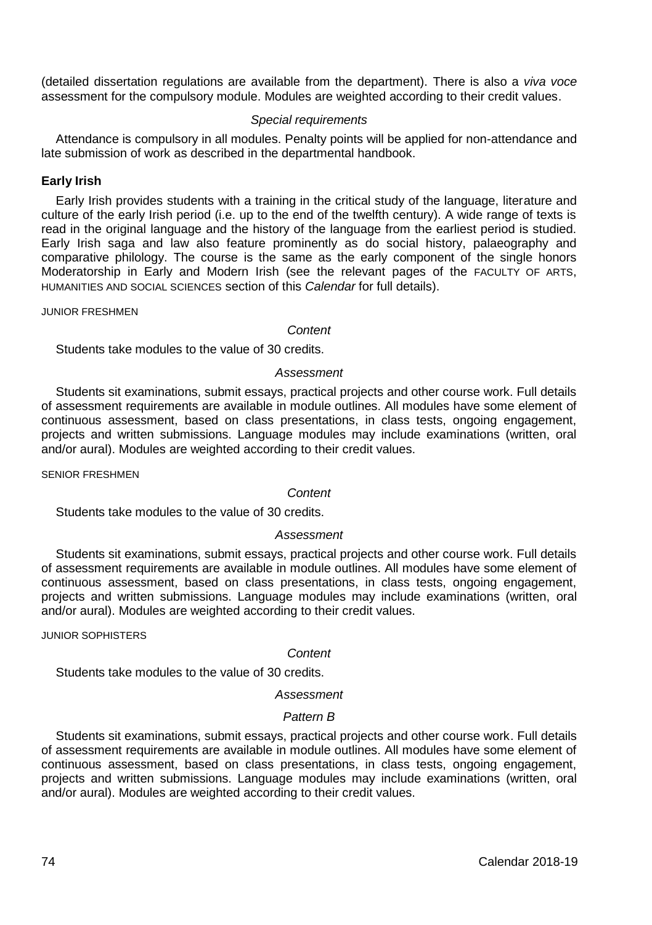(detailed dissertation regulations are available from the department). There is also a *viva voce* assessment for the compulsory module. Modules are weighted according to their credit values.

### *Special requirements*

Attendance is compulsory in all modules. Penalty points will be applied for non-attendance and late submission of work as described in the departmental handbook.

### **Early Irish**

Early Irish provides students with a training in the critical study of the language, literature and culture of the early Irish period (i.e. up to the end of the twelfth century). A wide range of texts is read in the original language and the history of the language from the earliest period is studied. Early Irish saga and law also feature prominently as do social history, palaeography and comparative philology. The course is the same as the early component of the single honors Moderatorship in Early and Modern Irish (see the relevant pages of the FACULTY OF ARTS, HUMANITIES AND SOCIAL SCIENCES section of this *Calendar* for full details).

JUNIOR FRESHMEN

#### *Content*

Students take modules to the value of 30 credits.

### *Assessment*

Students sit examinations, submit essays, practical projects and other course work. Full details of assessment requirements are available in module outlines. All modules have some element of continuous assessment, based on class presentations, in class tests, ongoing engagement, projects and written submissions. Language modules may include examinations (written, oral and/or aural). Modules are weighted according to their credit values.

SENIOR FRESHMEN

### *Content*

Students take modules to the value of 30 credits.

### *Assessment*

Students sit examinations, submit essays, practical projects and other course work. Full details of assessment requirements are available in module outlines. All modules have some element of continuous assessment, based on class presentations, in class tests, ongoing engagement, projects and written submissions. Language modules may include examinations (written, oral and/or aural). Modules are weighted according to their credit values.

JUNIOR SOPHISTERS

### *Content*

Students take modules to the value of 30 credits.

### *Assessment*

### *Pattern B*

Students sit examinations, submit essays, practical projects and other course work. Full details of assessment requirements are available in module outlines. All modules have some element of continuous assessment, based on class presentations, in class tests, ongoing engagement, projects and written submissions. Language modules may include examinations (written, oral and/or aural). Modules are weighted according to their credit values.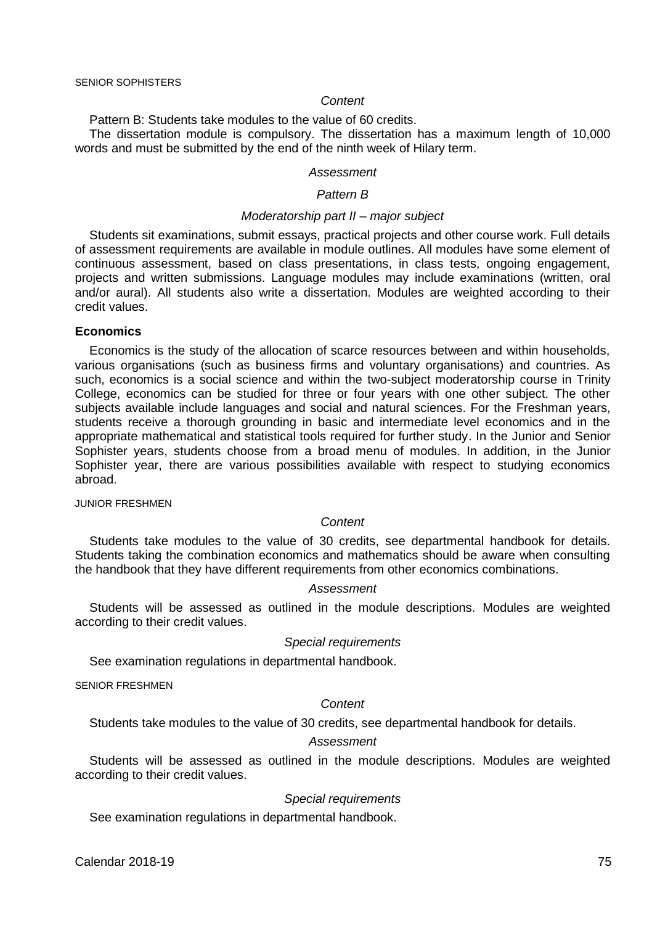#### *Content*

Pattern B: Students take modules to the value of 60 credits.

The dissertation module is compulsory. The dissertation has a maximum length of 10,000 words and must be submitted by the end of the ninth week of Hilary term.

#### *Assessment*

#### *Pattern B*

#### *Moderatorship part II – major subject*

Students sit examinations, submit essays, practical projects and other course work. Full details of assessment requirements are available in module outlines. All modules have some element of continuous assessment, based on class presentations, in class tests, ongoing engagement, projects and written submissions. Language modules may include examinations (written, oral and/or aural). All students also write a dissertation. Modules are weighted according to their credit values.

#### **Economics**

Economics is the study of the allocation of scarce resources between and within households, various organisations (such as business firms and voluntary organisations) and countries. As such, economics is a social science and within the two-subject moderatorship course in Trinity College, economics can be studied for three or four years with one other subject. The other subjects available include languages and social and natural sciences. For the Freshman years, students receive a thorough grounding in basic and intermediate level economics and in the appropriate mathematical and statistical tools required for further study. In the Junior and Senior Sophister years, students choose from a broad menu of modules. In addition, in the Junior Sophister year, there are various possibilities available with respect to studying economics abroad.

JUNIOR FRESHMEN

### *Content*

Students take modules to the value of 30 credits, see departmental handbook for details. Students taking the combination economics and mathematics should be aware when consulting the handbook that they have different requirements from other economics combinations.

### *Assessment*

Students will be assessed as outlined in the module descriptions. Modules are weighted according to their credit values.

### *Special requirements*

See examination regulations in departmental handbook.

SENIOR FRESHMEN

### *Content*

Students take modules to the value of 30 credits, see departmental handbook for details.

### *Assessment*

Students will be assessed as outlined in the module descriptions. Modules are weighted according to their credit values.

#### *Special requirements*

See examination regulations in departmental handbook.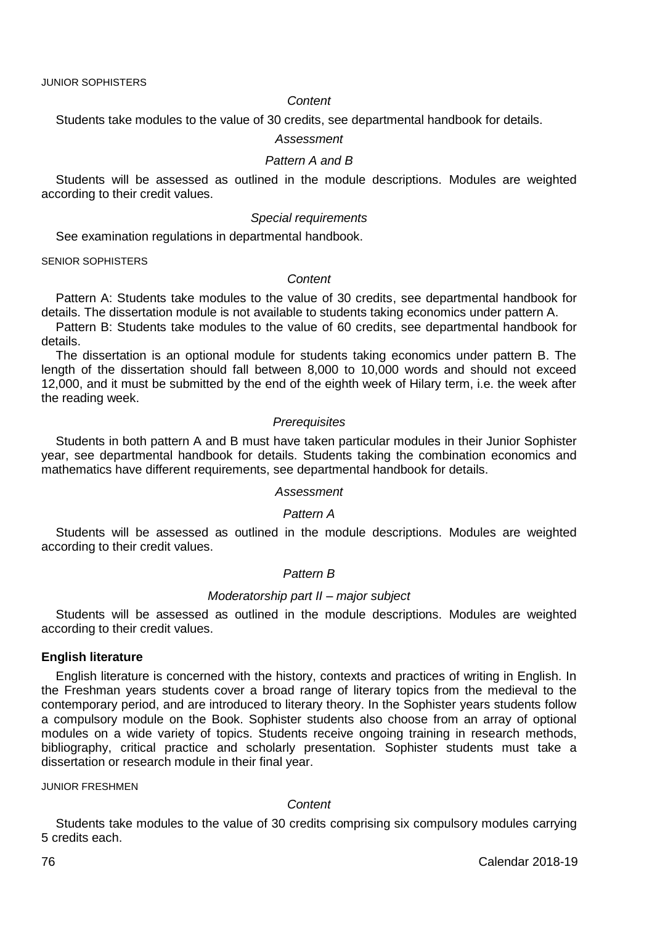#### *Content*

Students take modules to the value of 30 credits, see departmental handbook for details.

#### *Assessment*

### *Pattern A and B*

Students will be assessed as outlined in the module descriptions. Modules are weighted according to their credit values.

#### *Special requirements*

See examination regulations in departmental handbook.

SENIOR SOPHISTERS

### *Content*

Pattern A: Students take modules to the value of 30 credits, see departmental handbook for details. The dissertation module is not available to students taking economics under pattern A.

Pattern B: Students take modules to the value of 60 credits, see departmental handbook for details.

The dissertation is an optional module for students taking economics under pattern B. The length of the dissertation should fall between 8,000 to 10,000 words and should not exceed 12,000, and it must be submitted by the end of the eighth week of Hilary term, i.e. the week after the reading week.

### *Prerequisites*

Students in both pattern A and B must have taken particular modules in their Junior Sophister year, see departmental handbook for details. Students taking the combination economics and mathematics have different requirements, see departmental handbook for details.

### *Assessment*

#### *Pattern A*

Students will be assessed as outlined in the module descriptions. Modules are weighted according to their credit values.

### *Pattern B*

#### *Moderatorship part II – major subject*

Students will be assessed as outlined in the module descriptions. Modules are weighted according to their credit values.

#### **English literature**

English literature is concerned with the history, contexts and practices of writing in English. In the Freshman years students cover a broad range of literary topics from the medieval to the contemporary period, and are introduced to literary theory. In the Sophister years students follow a compulsory module on the Book. Sophister students also choose from an array of optional modules on a wide variety of topics. Students receive ongoing training in research methods, bibliography, critical practice and scholarly presentation. Sophister students must take a dissertation or research module in their final year.

#### JUNIOR FRESHMEN

#### *Content*

Students take modules to the value of 30 credits comprising six compulsory modules carrying 5 credits each.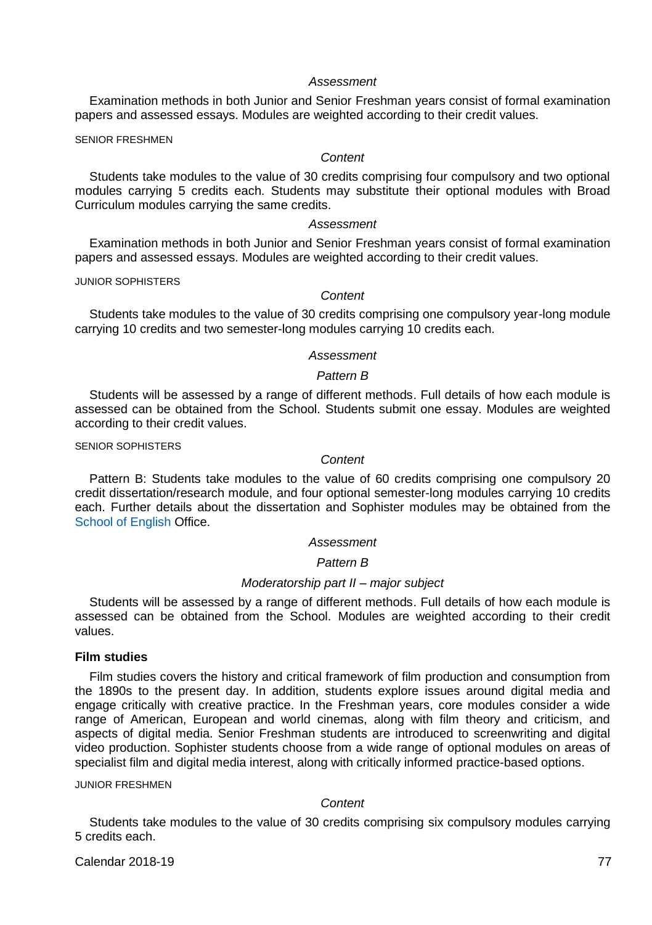Examination methods in both Junior and Senior Freshman years consist of formal examination papers and assessed essays. Modules are weighted according to their credit values.

SENIOR FRESHMEN

#### *Content*

Students take modules to the value of 30 credits comprising four compulsory and two optional modules carrying 5 credits each. Students may substitute their optional modules with Broad Curriculum modules carrying the same credits.

### *Assessment*

Examination methods in both Junior and Senior Freshman years consist of formal examination papers and assessed essays. Modules are weighted according to their credit values.

JUNIOR SOPHISTERS

#### *Content*

Students take modules to the value of 30 credits comprising one compulsory year-long module carrying 10 credits and two semester-long modules carrying 10 credits each.

#### *Assessment*

### *Pattern B*

Students will be assessed by a range of different methods. Full details of how each module is assessed can be obtained from the School. Students submit one essay. Modules are weighted according to their credit values.

### SENIOR SOPHISTERS

### *Content*

Pattern B: Students take modules to the value of 60 credits comprising one compulsory 20 credit dissertation/research module, and four optional semester-long modules carrying 10 credits each. Further details about the dissertation and Sophister modules may be obtained from the [School of English](http://www.tcd.ie/English/) Office.

### *Assessment*

### *Pattern B*

### *Moderatorship part II – major subject*

Students will be assessed by a range of different methods. Full details of how each module is assessed can be obtained from the School. Modules are weighted according to their credit values.

### **Film studies**

Film studies covers the history and critical framework of film production and consumption from the 1890s to the present day. In addition, students explore issues around digital media and engage critically with creative practice. In the Freshman years, core modules consider a wide range of American, European and world cinemas, along with film theory and criticism, and aspects of digital media. Senior Freshman students are introduced to screenwriting and digital video production. Sophister students choose from a wide range of optional modules on areas of specialist film and digital media interest, along with critically informed practice-based options.

JUNIOR FRESHMEN

#### *Content*

Students take modules to the value of 30 credits comprising six compulsory modules carrying 5 credits each.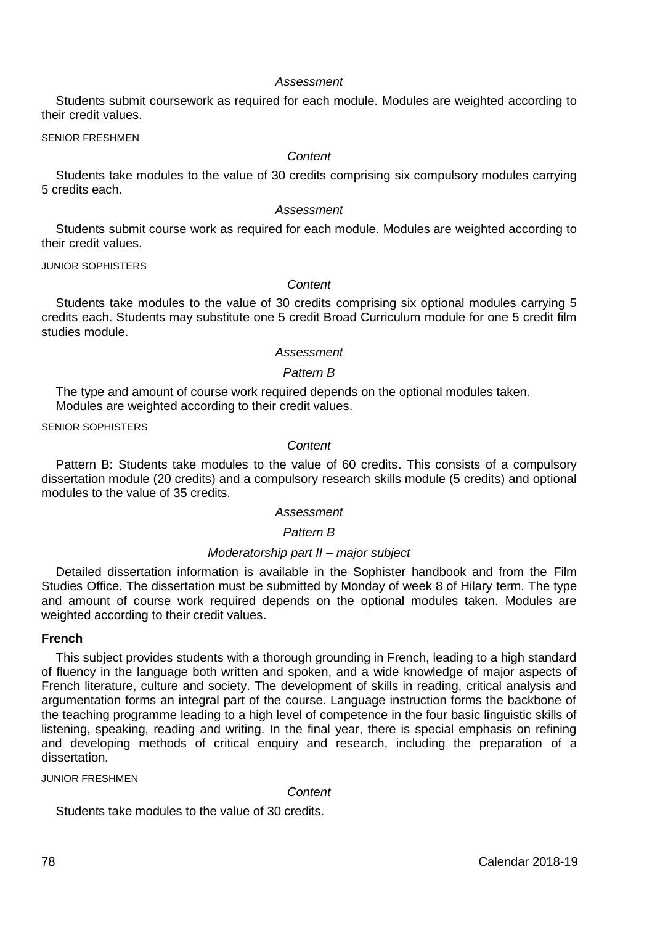Students submit coursework as required for each module. Modules are weighted according to their credit values.

SENIOR FRESHMEN

### *Content*

Students take modules to the value of 30 credits comprising six compulsory modules carrying 5 credits each.

#### *Assessment*

Students submit course work as required for each module. Modules are weighted according to their credit values.

JUNIOR SOPHISTERS

### *Content*

Students take modules to the value of 30 credits comprising six optional modules carrying 5 credits each. Students may substitute one 5 credit Broad Curriculum module for one 5 credit film studies module.

### *Assessment*

### *Pattern B*

The type and amount of course work required depends on the optional modules taken. Modules are weighted according to their credit values.

SENIOR SOPHISTERS

### *Content*

Pattern B: Students take modules to the value of 60 credits. This consists of a compulsory dissertation module (20 credits) and a compulsory research skills module (5 credits) and optional modules to the value of 35 credits.

### *Assessment*

### *Pattern B*

### *Moderatorship part II – major subject*

Detailed dissertation information is available in the Sophister handbook and from the Film Studies Office. The dissertation must be submitted by Monday of week 8 of Hilary term. The type and amount of course work required depends on the optional modules taken. Modules are weighted according to their credit values.

### **French**

This subject provides students with a thorough grounding in French, leading to a high standard of fluency in the language both written and spoken, and a wide knowledge of major aspects of French literature, culture and society. The development of skills in reading, critical analysis and argumentation forms an integral part of the course. Language instruction forms the backbone of the teaching programme leading to a high level of competence in the four basic linguistic skills of listening, speaking, reading and writing. In the final year, there is special emphasis on refining and developing methods of critical enquiry and research, including the preparation of a dissertation.

### JUNIOR FRESHMEN

*Content*

Students take modules to the value of 30 credits.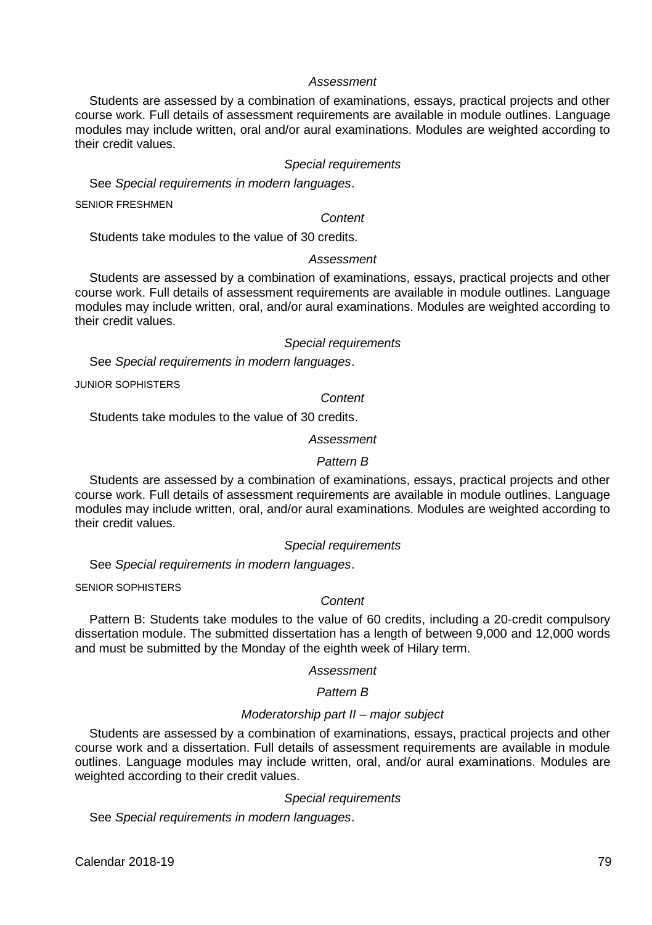Students are assessed by a combination of examinations, essays, practical projects and other course work. Full details of assessment requirements are available in module outlines. Language modules may include written, oral and/or aural examinations. Modules are weighted according to their credit values.

### *Special requirements*

See *Special requirements in modern languages*.

SENIOR FRESHMEN

*Content*

Students take modules to the value of 30 credits.

#### *Assessment*

Students are assessed by a combination of examinations, essays, practical projects and other course work. Full details of assessment requirements are available in module outlines. Language modules may include written, oral, and/or aural examinations. Modules are weighted according to their credit values.

#### *Special requirements*

See *Special requirements in modern languages*.

JUNIOR SOPHISTERS

#### *Content*

Students take modules to the value of 30 credits.

#### *Assessment*

#### *Pattern B*

Students are assessed by a combination of examinations, essays, practical projects and other course work. Full details of assessment requirements are available in module outlines. Language modules may include written, oral, and/or aural examinations. Modules are weighted according to their credit values.

#### *Special requirements*

See *Special requirements in modern languages*.

SENIOR SOPHISTERS

### *Content*

Pattern B: Students take modules to the value of 60 credits, including a 20-credit compulsory dissertation module. The submitted dissertation has a length of between 9,000 and 12,000 words and must be submitted by the Monday of the eighth week of Hilary term.

#### *Assessment*

### *Pattern B*

#### *Moderatorship part II – major subject*

Students are assessed by a combination of examinations, essays, practical projects and other course work and a dissertation. Full details of assessment requirements are available in module outlines. Language modules may include written, oral, and/or aural examinations. Modules are weighted according to their credit values.

#### *Special requirements*

See *Special requirements in modern languages*.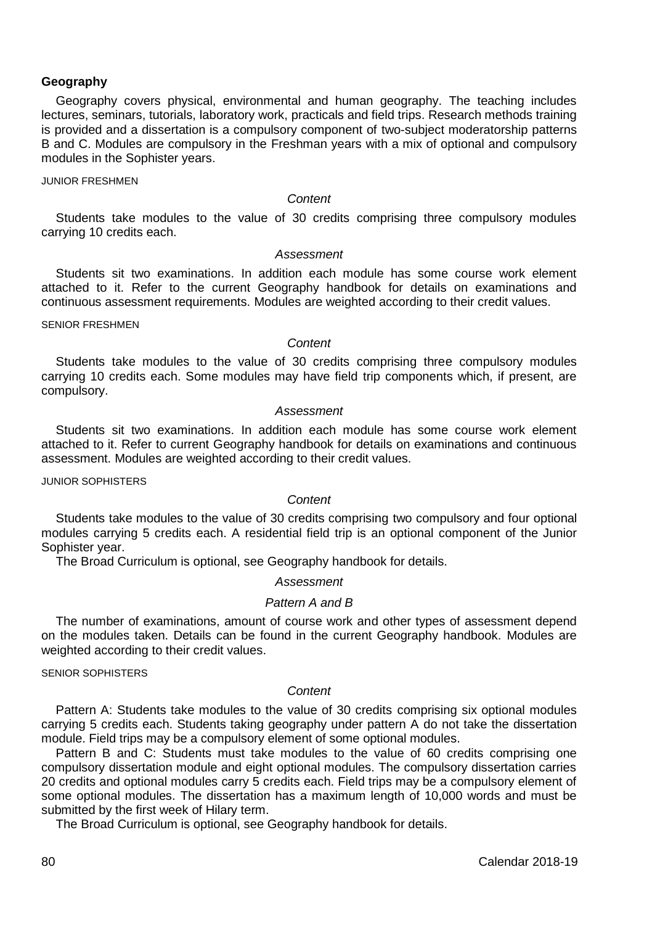### **Geography**

Geography covers physical, environmental and human geography. The teaching includes lectures, seminars, tutorials, laboratory work, practicals and field trips. Research methods training is provided and a dissertation is a compulsory component of two-subject moderatorship patterns B and C. Modules are compulsory in the Freshman years with a mix of optional and compulsory modules in the Sophister years.

JUNIOR FRESHMEN

#### *Content*

Students take modules to the value of 30 credits comprising three compulsory modules carrying 10 credits each.

### *Assessment*

Students sit two examinations. In addition each module has some course work element attached to it. Refer to the current Geography handbook for details on examinations and continuous assessment requirements. Modules are weighted according to their credit values.

SENIOR FRESHMEN

#### *Content*

Students take modules to the value of 30 credits comprising three compulsory modules carrying 10 credits each. Some modules may have field trip components which, if present, are compulsory.

#### *Assessment*

Students sit two examinations. In addition each module has some course work element attached to it. Refer to current Geography handbook for details on examinations and continuous assessment. Modules are weighted according to their credit values.

JUNIOR SOPHISTERS

### *Content*

Students take modules to the value of 30 credits comprising two compulsory and four optional modules carrying 5 credits each. A residential field trip is an optional component of the Junior Sophister year.

The Broad Curriculum is optional, see Geography handbook for details.

#### *Assessment*

### *Pattern A and B*

The number of examinations, amount of course work and other types of assessment depend on the modules taken. Details can be found in the current Geography handbook. Modules are weighted according to their credit values.

### SENIOR SOPHISTERS

### *Content*

Pattern A: Students take modules to the value of 30 credits comprising six optional modules carrying 5 credits each. Students taking geography under pattern A do not take the dissertation module. Field trips may be a compulsory element of some optional modules.

Pattern B and C: Students must take modules to the value of 60 credits comprising one compulsory dissertation module and eight optional modules. The compulsory dissertation carries 20 credits and optional modules carry 5 credits each. Field trips may be a compulsory element of some optional modules. The dissertation has a maximum length of 10,000 words and must be submitted by the first week of Hilary term.

The Broad Curriculum is optional, see Geography handbook for details.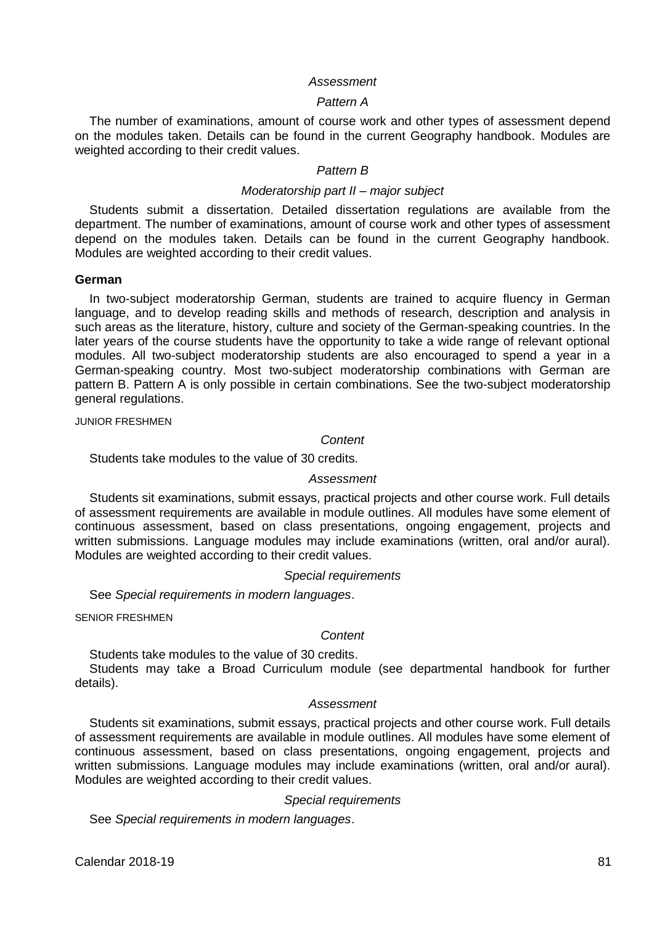#### *Pattern A*

The number of examinations, amount of course work and other types of assessment depend on the modules taken. Details can be found in the current Geography handbook. Modules are weighted according to their credit values.

#### *Pattern B*

### *Moderatorship part II – major subject*

Students submit a dissertation. Detailed dissertation regulations are available from the department. The number of examinations, amount of course work and other types of assessment depend on the modules taken. Details can be found in the current Geography handbook. Modules are weighted according to their credit values.

#### **German**

In two-subject moderatorship German, students are trained to acquire fluency in German language, and to develop reading skills and methods of research, description and analysis in such areas as the literature, history, culture and society of the German-speaking countries. In the later years of the course students have the opportunity to take a wide range of relevant optional modules. All two-subject moderatorship students are also encouraged to spend a year in a German-speaking country. Most two-subject moderatorship combinations with German are pattern B. Pattern A is only possible in certain combinations. See the two-subject moderatorship general regulations.

JUNIOR FRESHMEN

#### *Content*

Students take modules to the value of 30 credits.

### *Assessment*

Students sit examinations, submit essays, practical projects and other course work. Full details of assessment requirements are available in module outlines. All modules have some element of continuous assessment, based on class presentations, ongoing engagement, projects and written submissions. Language modules may include examinations (written, oral and/or aural). Modules are weighted according to their credit values.

#### *Special requirements*

See *Special requirements in modern languages*.

SENIOR FRESHMEN

#### *Content*

Students take modules to the value of 30 credits.

Students may take a Broad Curriculum module (see departmental handbook for further details).

### *Assessment*

Students sit examinations, submit essays, practical projects and other course work. Full details of assessment requirements are available in module outlines. All modules have some element of continuous assessment, based on class presentations, ongoing engagement, projects and written submissions. Language modules may include examinations (written, oral and/or aural). Modules are weighted according to their credit values.

#### *Special requirements*

See *Special requirements in modern languages*.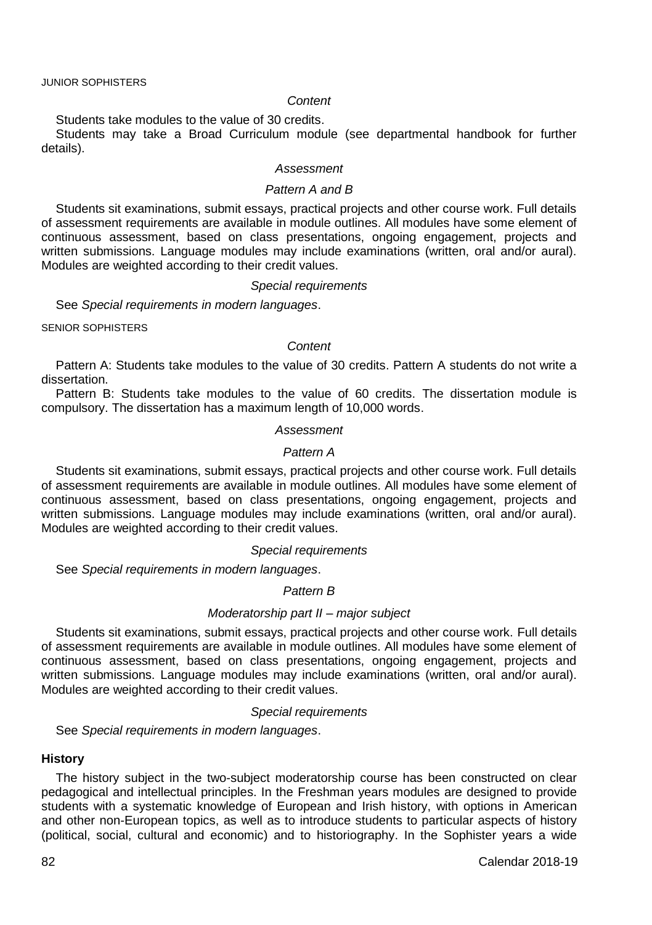#### *Content*

Students take modules to the value of 30 credits.

Students may take a Broad Curriculum module (see departmental handbook for further details).

#### *Assessment*

#### *Pattern A and B*

Students sit examinations, submit essays, practical projects and other course work. Full details of assessment requirements are available in module outlines. All modules have some element of continuous assessment, based on class presentations, ongoing engagement, projects and written submissions. Language modules may include examinations (written, oral and/or aural). Modules are weighted according to their credit values.

#### *Special requirements*

See *Special requirements in modern languages*.

SENIOR SOPHISTERS

#### *Content*

Pattern A: Students take modules to the value of 30 credits. Pattern A students do not write a dissertation.

Pattern B: Students take modules to the value of 60 credits. The dissertation module is compulsory. The dissertation has a maximum length of 10,000 words.

#### *Assessment*

### *Pattern A*

Students sit examinations, submit essays, practical projects and other course work. Full details of assessment requirements are available in module outlines. All modules have some element of continuous assessment, based on class presentations, ongoing engagement, projects and written submissions. Language modules may include examinations (written, oral and/or aural). Modules are weighted according to their credit values.

#### *Special requirements*

See *Special requirements in modern languages*.

#### *Pattern B*

#### *Moderatorship part II – major subject*

Students sit examinations, submit essays, practical projects and other course work. Full details of assessment requirements are available in module outlines. All modules have some element of continuous assessment, based on class presentations, ongoing engagement, projects and written submissions. Language modules may include examinations (written, oral and/or aural). Modules are weighted according to their credit values.

#### *Special requirements*

See *Special requirements in modern languages*.

### **History**

The history subject in the two-subject moderatorship course has been constructed on clear pedagogical and intellectual principles. In the Freshman years modules are designed to provide students with a systematic knowledge of European and Irish history, with options in American and other non-European topics, as well as to introduce students to particular aspects of history (political, social, cultural and economic) and to historiography. In the Sophister years a wide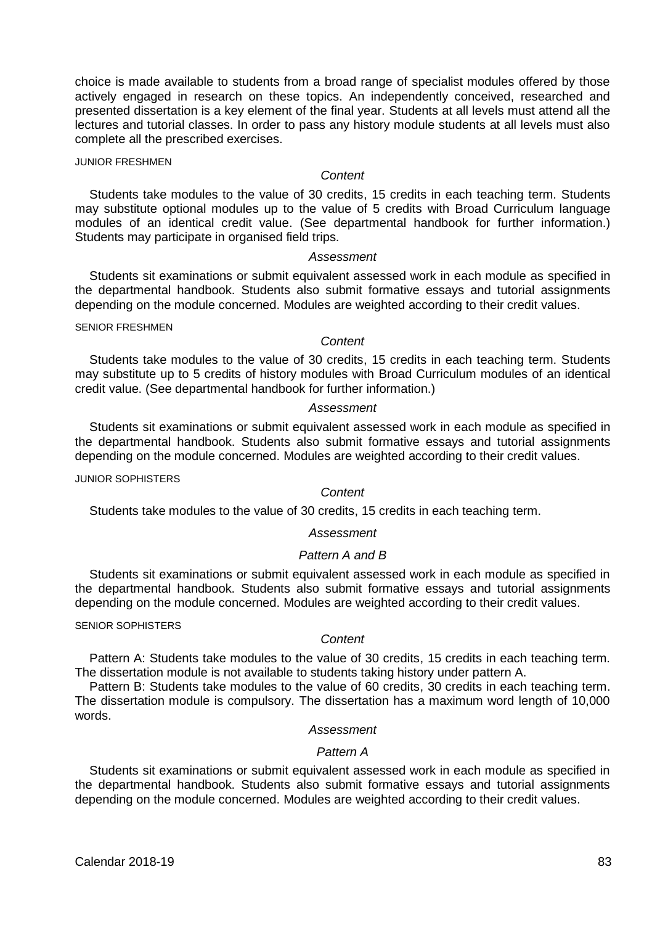choice is made available to students from a broad range of specialist modules offered by those actively engaged in research on these topics. An independently conceived, researched and presented dissertation is a key element of the final year. Students at all levels must attend all the lectures and tutorial classes. In order to pass any history module students at all levels must also complete all the prescribed exercises.

### JUNIOR FRESHMEN

#### *Content*

Students take modules to the value of 30 credits, 15 credits in each teaching term. Students may substitute optional modules up to the value of 5 credits with Broad Curriculum language modules of an identical credit value. (See departmental handbook for further information.) Students may participate in organised field trips.

#### *Assessment*

Students sit examinations or submit equivalent assessed work in each module as specified in the departmental handbook. Students also submit formative essays and tutorial assignments depending on the module concerned. Modules are weighted according to their credit values.

#### SENIOR FRESHMEN

### *Content*

Students take modules to the value of 30 credits, 15 credits in each teaching term. Students may substitute up to 5 credits of history modules with Broad Curriculum modules of an identical credit value. (See departmental handbook for further information.)

#### *Assessment*

Students sit examinations or submit equivalent assessed work in each module as specified in the departmental handbook. Students also submit formative essays and tutorial assignments depending on the module concerned. Modules are weighted according to their credit values.

JUNIOR SOPHISTERS

### *Content*

Students take modules to the value of 30 credits, 15 credits in each teaching term.

### *Assessment*

### *Pattern A and B*

Students sit examinations or submit equivalent assessed work in each module as specified in the departmental handbook. Students also submit formative essays and tutorial assignments depending on the module concerned. Modules are weighted according to their credit values.

### SENIOR SOPHISTERS

### *Content*

Pattern A: Students take modules to the value of 30 credits, 15 credits in each teaching term. The dissertation module is not available to students taking history under pattern A.

Pattern B: Students take modules to the value of 60 credits, 30 credits in each teaching term. The dissertation module is compulsory. The dissertation has a maximum word length of 10,000 words.

### *Assessment*

### *Pattern A*

Students sit examinations or submit equivalent assessed work in each module as specified in the departmental handbook. Students also submit formative essays and tutorial assignments depending on the module concerned. Modules are weighted according to their credit values.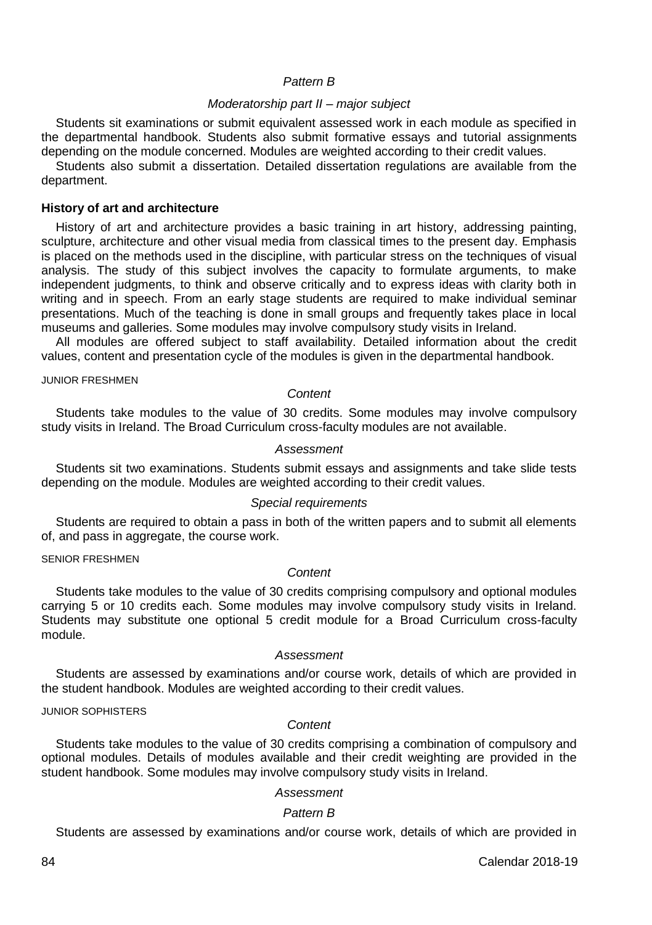### *Pattern B*

### *Moderatorship part II – major subject*

Students sit examinations or submit equivalent assessed work in each module as specified in the departmental handbook. Students also submit formative essays and tutorial assignments depending on the module concerned. Modules are weighted according to their credit values.

Students also submit a dissertation. Detailed dissertation regulations are available from the department.

#### **History of art and architecture**

History of art and architecture provides a basic training in art history, addressing painting, sculpture, architecture and other visual media from classical times to the present day. Emphasis is placed on the methods used in the discipline, with particular stress on the techniques of visual analysis. The study of this subject involves the capacity to formulate arguments, to make independent judgments, to think and observe critically and to express ideas with clarity both in writing and in speech. From an early stage students are required to make individual seminar presentations. Much of the teaching is done in small groups and frequently takes place in local museums and galleries. Some modules may involve compulsory study visits in Ireland.

All modules are offered subject to staff availability. Detailed information about the credit values, content and presentation cycle of the modules is given in the departmental handbook.

#### JUNIOR FRESHMEN

#### *Content*

Students take modules to the value of 30 credits. Some modules may involve compulsory study visits in Ireland. The Broad Curriculum cross-faculty modules are not available.

### *Assessment*

Students sit two examinations. Students submit essays and assignments and take slide tests depending on the module. Modules are weighted according to their credit values.

#### *Special requirements*

Students are required to obtain a pass in both of the written papers and to submit all elements of, and pass in aggregate, the course work.

SENIOR FRESHMEN

#### *Content*

Students take modules to the value of 30 credits comprising compulsory and optional modules carrying 5 or 10 credits each. Some modules may involve compulsory study visits in Ireland. Students may substitute one optional 5 credit module for a Broad Curriculum cross-faculty module.

### *Assessment*

Students are assessed by examinations and/or course work, details of which are provided in the student handbook. Modules are weighted according to their credit values.

JUNIOR SOPHISTERS

### *Content*

Students take modules to the value of 30 credits comprising a combination of compulsory and optional modules. Details of modules available and their credit weighting are provided in the student handbook. Some modules may involve compulsory study visits in Ireland.

#### *Assessment*

#### *Pattern B*

Students are assessed by examinations and/or course work, details of which are provided in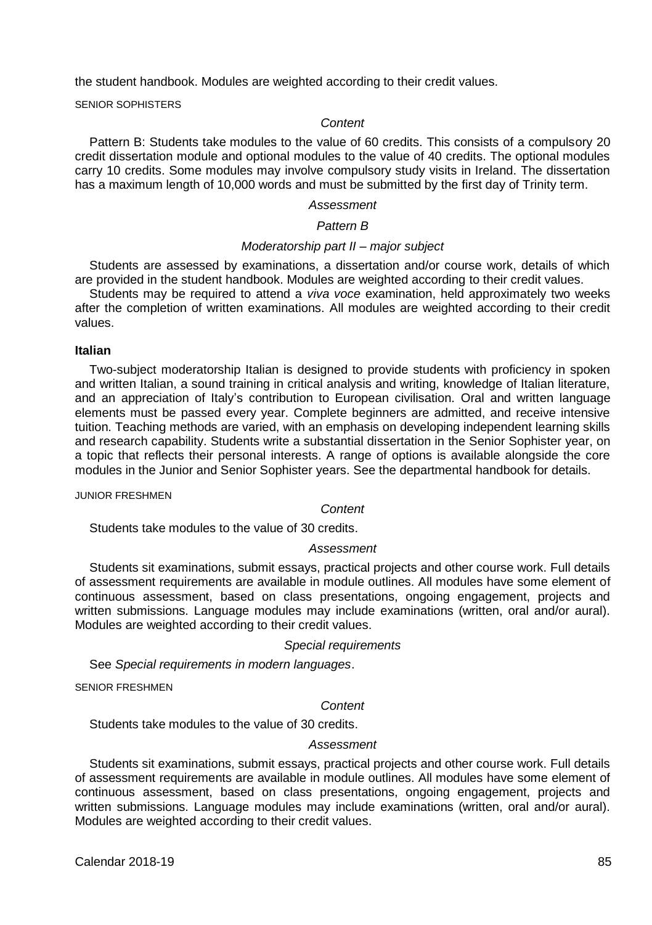the student handbook. Modules are weighted according to their credit values.

SENIOR SOPHISTERS

#### *Content*

Pattern B: Students take modules to the value of 60 credits. This consists of a compulsory 20 credit dissertation module and optional modules to the value of 40 credits. The optional modules carry 10 credits. Some modules may involve compulsory study visits in Ireland. The dissertation has a maximum length of 10,000 words and must be submitted by the first day of Trinity term.

#### *Assessment*

### *Pattern B*

#### *Moderatorship part II – major subject*

Students are assessed by examinations, a dissertation and/or course work, details of which are provided in the student handbook. Modules are weighted according to their credit values.

Students may be required to attend a *viva voce* examination, held approximately two weeks after the completion of written examinations. All modules are weighted according to their credit values.

### **Italian**

Two-subject moderatorship Italian is designed to provide students with proficiency in spoken and written Italian, a sound training in critical analysis and writing, knowledge of Italian literature, and an appreciation of Italy's contribution to European civilisation. Oral and written language elements must be passed every year. Complete beginners are admitted, and receive intensive tuition. Teaching methods are varied, with an emphasis on developing independent learning skills and research capability. Students write a substantial dissertation in the Senior Sophister year, on a topic that reflects their personal interests. A range of options is available alongside the core modules in the Junior and Senior Sophister years. See the departmental handbook for details.

JUNIOR FRESHMEN

### *Content*

Students take modules to the value of 30 credits.

#### *Assessment*

Students sit examinations, submit essays, practical projects and other course work. Full details of assessment requirements are available in module outlines. All modules have some element of continuous assessment, based on class presentations, ongoing engagement, projects and written submissions. Language modules may include examinations (written, oral and/or aural). Modules are weighted according to their credit values.

### *Special requirements*

See *Special requirements in modern languages*.

SENIOR FRESHMEN

### *Content*

Students take modules to the value of 30 credits.

### *Assessment*

Students sit examinations, submit essays, practical projects and other course work. Full details of assessment requirements are available in module outlines. All modules have some element of continuous assessment, based on class presentations, ongoing engagement, projects and written submissions. Language modules may include examinations (written, oral and/or aural). Modules are weighted according to their credit values.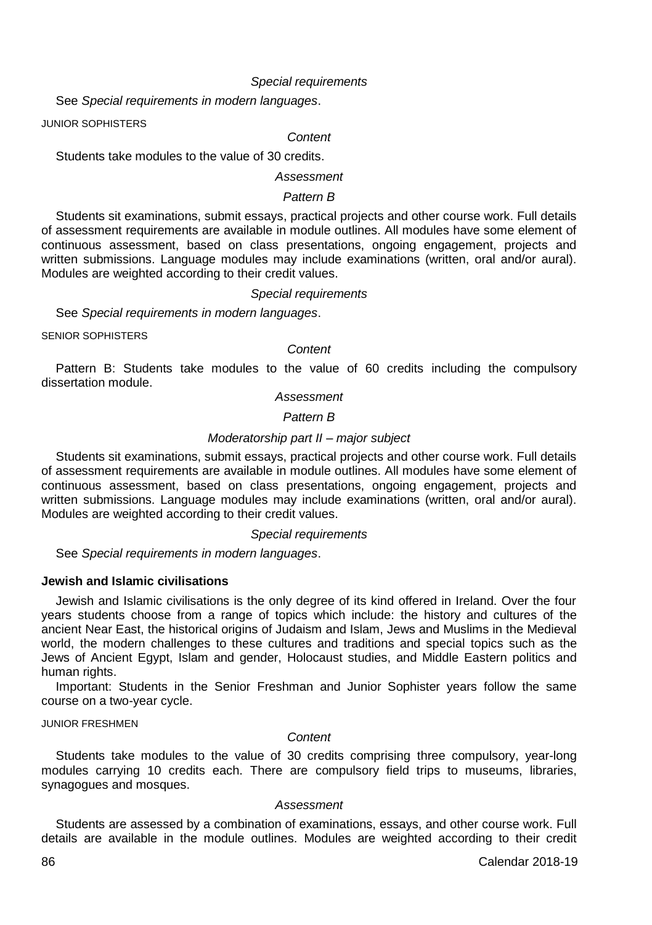#### *Special requirements*

See *Special requirements in modern languages*.

JUNIOR SOPHISTERS

### *Content*

Students take modules to the value of 30 credits.

### *Assessment*

### *Pattern B*

Students sit examinations, submit essays, practical projects and other course work. Full details of assessment requirements are available in module outlines. All modules have some element of continuous assessment, based on class presentations, ongoing engagement, projects and written submissions. Language modules may include examinations (written, oral and/or aural). Modules are weighted according to their credit values.

#### *Special requirements*

See *Special requirements in modern languages*.

SENIOR SOPHISTERS

### *Content*

Pattern B: Students take modules to the value of 60 credits including the compulsory dissertation module.

#### *Assessment*

### *Pattern B*

### *Moderatorship part II – major subject*

Students sit examinations, submit essays, practical projects and other course work. Full details of assessment requirements are available in module outlines. All modules have some element of continuous assessment, based on class presentations, ongoing engagement, projects and written submissions. Language modules may include examinations (written, oral and/or aural). Modules are weighted according to their credit values.

#### *Special requirements*

See *Special requirements in modern languages*.

### **Jewish and Islamic civilisations**

Jewish and Islamic civilisations is the only degree of its kind offered in Ireland. Over the four years students choose from a range of topics which include: the history and cultures of the ancient Near East, the historical origins of Judaism and Islam, Jews and Muslims in the Medieval world, the modern challenges to these cultures and traditions and special topics such as the Jews of Ancient Egypt, Islam and gender, Holocaust studies, and Middle Eastern politics and human rights.

Important: Students in the Senior Freshman and Junior Sophister years follow the same course on a two-year cycle.

JUNIOR FRESHMEN

#### *Content*

Students take modules to the value of 30 credits comprising three compulsory, year-long modules carrying 10 credits each. There are compulsory field trips to museums, libraries, synagogues and mosques.

### *Assessment*

Students are assessed by a combination of examinations, essays, and other course work. Full details are available in the module outlines. Modules are weighted according to their credit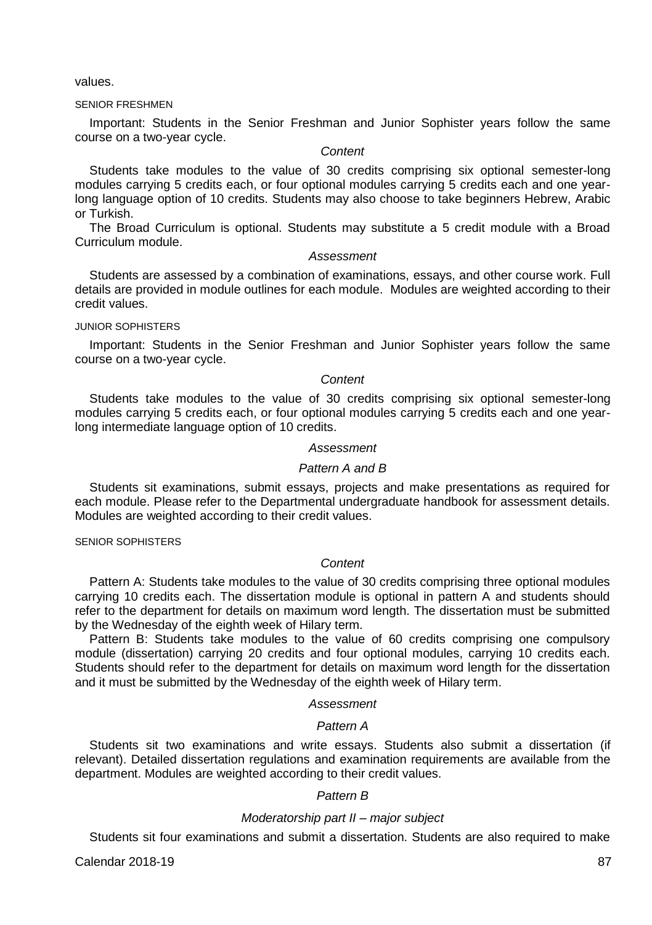values.

#### SENIOR FRESHMEN

Important: Students in the Senior Freshman and Junior Sophister years follow the same course on a two-year cycle.

### *Content*

Students take modules to the value of 30 credits comprising six optional semester-long modules carrying 5 credits each, or four optional modules carrying 5 credits each and one yearlong language option of 10 credits. Students may also choose to take beginners Hebrew, Arabic or Turkish.

The Broad Curriculum is optional. Students may substitute a 5 credit module with a Broad Curriculum module.

### *Assessment*

Students are assessed by a combination of examinations, essays, and other course work. Full details are provided in module outlines for each module. Modules are weighted according to their credit values.

JUNIOR SOPHISTERS

Important: Students in the Senior Freshman and Junior Sophister years follow the same course on a two-year cycle.

### *Content*

Students take modules to the value of 30 credits comprising six optional semester-long modules carrying 5 credits each, or four optional modules carrying 5 credits each and one yearlong intermediate language option of 10 credits.

### *Assessment*

### *Pattern A and B*

Students sit examinations, submit essays, projects and make presentations as required for each module. Please refer to the Departmental undergraduate handbook for assessment details. Modules are weighted according to their credit values.

SENIOR SOPHISTERS

#### *Content*

Pattern A: Students take modules to the value of 30 credits comprising three optional modules carrying 10 credits each. The dissertation module is optional in pattern A and students should refer to the department for details on maximum word length. The dissertation must be submitted by the Wednesday of the eighth week of Hilary term.

Pattern B: Students take modules to the value of 60 credits comprising one compulsory module (dissertation) carrying 20 credits and four optional modules, carrying 10 credits each. Students should refer to the department for details on maximum word length for the dissertation and it must be submitted by the Wednesday of the eighth week of Hilary term.

#### *Assessment*

#### *Pattern A*

Students sit two examinations and write essays. Students also submit a dissertation (if relevant). Detailed dissertation regulations and examination requirements are available from the department. Modules are weighted according to their credit values.

### *Pattern B*

#### *Moderatorship part II – major subject*

Students sit four examinations and submit a dissertation. Students are also required to make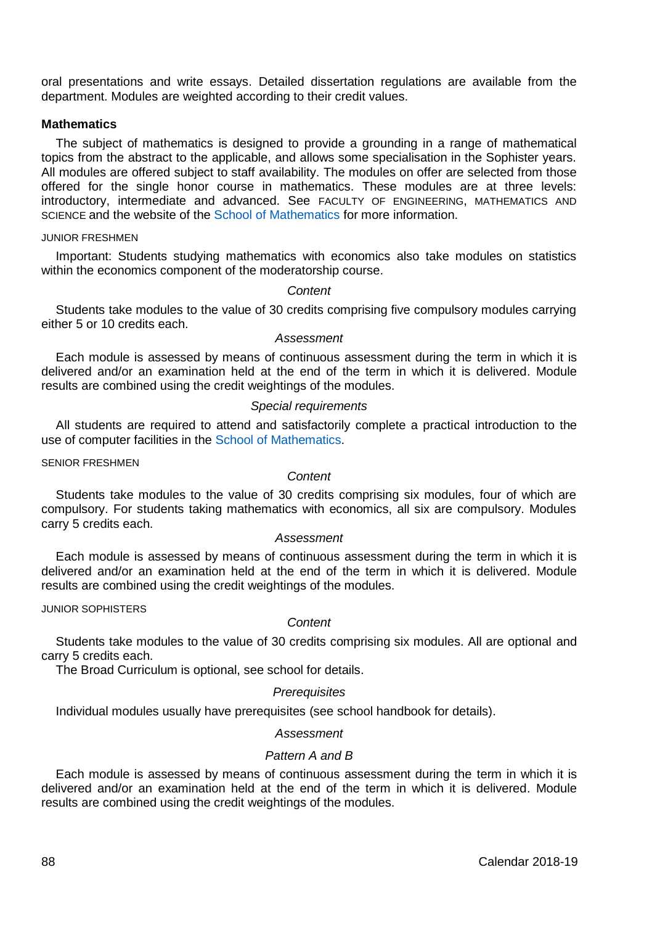oral presentations and write essays. Detailed dissertation regulations are available from the department. Modules are weighted according to their credit values.

### **Mathematics**

The subject of mathematics is designed to provide a grounding in a range of mathematical topics from the abstract to the applicable, and allows some specialisation in the Sophister years. All modules are offered subject to staff availability. The modules on offer are selected from those offered for the single honor course in mathematics. These modules are at three levels: introductory, intermediate and advanced. See FACULTY OF ENGINEERING, MATHEMATICS AND SCIENCE and the website of the [School of Mathematics](http://www.maths.tcd.ie/) for more information.

#### JUNIOR FRESHMEN

Important: Students studying mathematics with economics also take modules on statistics within the economics component of the moderatorship course.

### *Content*

Students take modules to the value of 30 credits comprising five compulsory modules carrying either 5 or 10 credits each.

#### *Assessment*

Each module is assessed by means of continuous assessment during the term in which it is delivered and/or an examination held at the end of the term in which it is delivered. Module results are combined using the credit weightings of the modules.

#### *Special requirements*

All students are required to attend and satisfactorily complete a practical introduction to the use of computer facilities in th[e School of Mathematics.](http://www.maths.tcd.ie/)

SENIOR FRESHMEN

### *Content*

Students take modules to the value of 30 credits comprising six modules, four of which are compulsory. For students taking mathematics with economics, all six are compulsory. Modules carry 5 credits each.

### *Assessment*

Each module is assessed by means of continuous assessment during the term in which it is delivered and/or an examination held at the end of the term in which it is delivered. Module results are combined using the credit weightings of the modules.

#### JUNIOR SOPHISTERS

#### *Content*

Students take modules to the value of 30 credits comprising six modules. All are optional and carry 5 credits each.

The Broad Curriculum is optional, see school for details.

#### *Prerequisites*

Individual modules usually have prerequisites (see school handbook for details).

#### *Assessment*

### *Pattern A and B*

Each module is assessed by means of continuous assessment during the term in which it is delivered and/or an examination held at the end of the term in which it is delivered. Module results are combined using the credit weightings of the modules.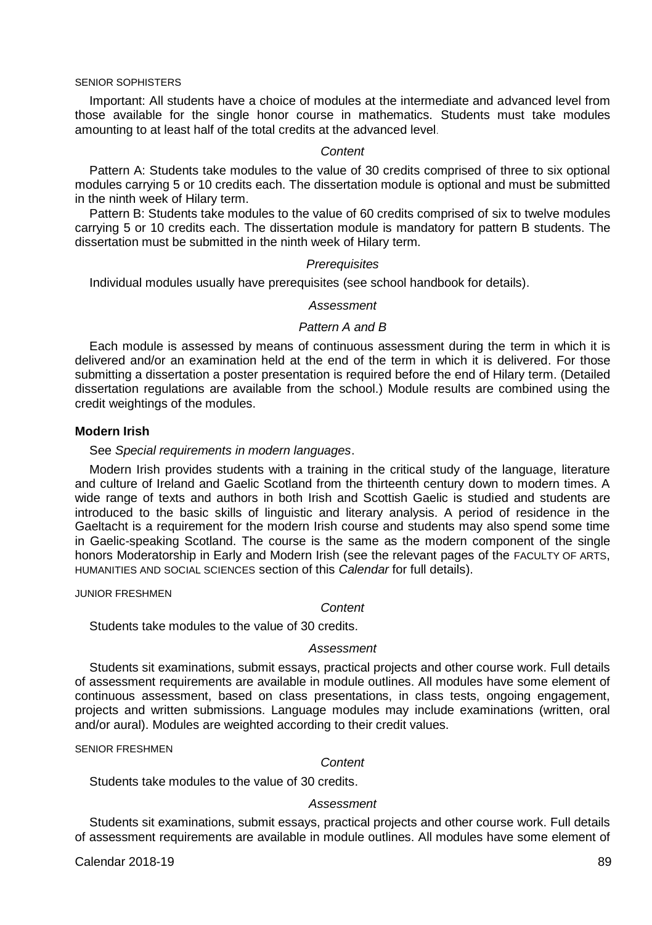#### SENIOR SOPHISTERS

Important: All students have a choice of modules at the intermediate and advanced level from those available for the single honor course in mathematics. Students must take modules amounting to at least half of the total credits at the advanced level.

#### *Content*

Pattern A: Students take modules to the value of 30 credits comprised of three to six optional modules carrying 5 or 10 credits each. The dissertation module is optional and must be submitted in the ninth week of Hilary term.

Pattern B: Students take modules to the value of 60 credits comprised of six to twelve modules carrying 5 or 10 credits each. The dissertation module is mandatory for pattern B students. The dissertation must be submitted in the ninth week of Hilary term.

#### *Prerequisites*

Individual modules usually have prerequisites (see school handbook for details).

#### *Assessment*

### *Pattern A and B*

Each module is assessed by means of continuous assessment during the term in which it is delivered and/or an examination held at the end of the term in which it is delivered. For those submitting a dissertation a poster presentation is required before the end of Hilary term. (Detailed dissertation regulations are available from the school.) Module results are combined using the credit weightings of the modules.

### **Modern Irish**

See *Special requirements in modern languages*.

Modern Irish provides students with a training in the critical study of the language, literature and culture of Ireland and Gaelic Scotland from the thirteenth century down to modern times. A wide range of texts and authors in both Irish and Scottish Gaelic is studied and students are introduced to the basic skills of linguistic and literary analysis. A period of residence in the Gaeltacht is a requirement for the modern Irish course and students may also spend some time in Gaelic-speaking Scotland. The course is the same as the modern component of the single honors Moderatorship in Early and Modern Irish (see the relevant pages of the FACULTY OF ARTS, HUMANITIES AND SOCIAL SCIENCES section of this *Calendar* for full details).

JUNIOR FRESHMEN

#### *Content*

Students take modules to the value of 30 credits.

### *Assessment*

Students sit examinations, submit essays, practical projects and other course work. Full details of assessment requirements are available in module outlines. All modules have some element of continuous assessment, based on class presentations, in class tests, ongoing engagement, projects and written submissions. Language modules may include examinations (written, oral and/or aural). Modules are weighted according to their credit values.

SENIOR FRESHMEN

#### *Content*

Students take modules to the value of 30 credits.

#### *Assessment*

Students sit examinations, submit essays, practical projects and other course work. Full details of assessment requirements are available in module outlines. All modules have some element of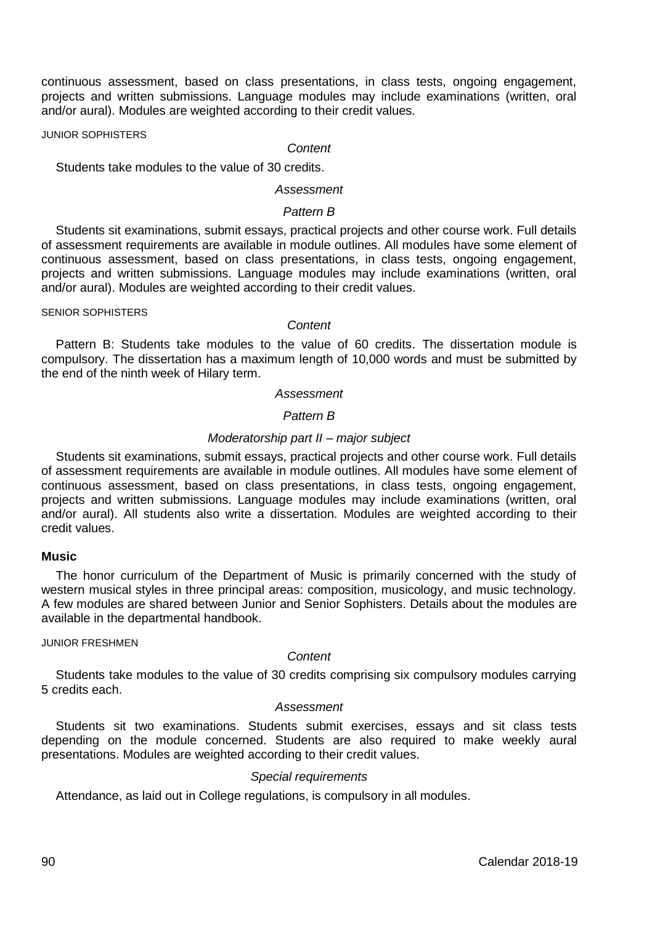continuous assessment, based on class presentations, in class tests, ongoing engagement, projects and written submissions. Language modules may include examinations (written, oral and/or aural). Modules are weighted according to their credit values.

JUNIOR SOPHISTERS

### *Content*

Students take modules to the value of 30 credits.

### *Assessment*

### *Pattern B*

Students sit examinations, submit essays, practical projects and other course work. Full details of assessment requirements are available in module outlines. All modules have some element of continuous assessment, based on class presentations, in class tests, ongoing engagement, projects and written submissions. Language modules may include examinations (written, oral and/or aural). Modules are weighted according to their credit values.

SENIOR SOPHISTERS

### *Content*

Pattern B: Students take modules to the value of 60 credits. The dissertation module is compulsory. The dissertation has a maximum length of 10,000 words and must be submitted by the end of the ninth week of Hilary term.

#### *Assessment*

### *Pattern B*

### *Moderatorship part II – major subject*

Students sit examinations, submit essays, practical projects and other course work. Full details of assessment requirements are available in module outlines. All modules have some element of continuous assessment, based on class presentations, in class tests, ongoing engagement, projects and written submissions. Language modules may include examinations (written, oral and/or aural). All students also write a dissertation. Modules are weighted according to their credit values.

#### **Music**

The honor curriculum of the Department of Music is primarily concerned with the study of western musical styles in three principal areas: composition, musicology, and music technology. A few modules are shared between Junior and Senior Sophisters. Details about the modules are available in the departmental handbook.

### JUNIOR FRESHMEN

### *Content*

Students take modules to the value of 30 credits comprising six compulsory modules carrying 5 credits each.

### *Assessment*

Students sit two examinations. Students submit exercises, essays and sit class tests depending on the module concerned. Students are also required to make weekly aural presentations. Modules are weighted according to their credit values.

### *Special requirements*

Attendance, as laid out in College regulations, is compulsory in all modules.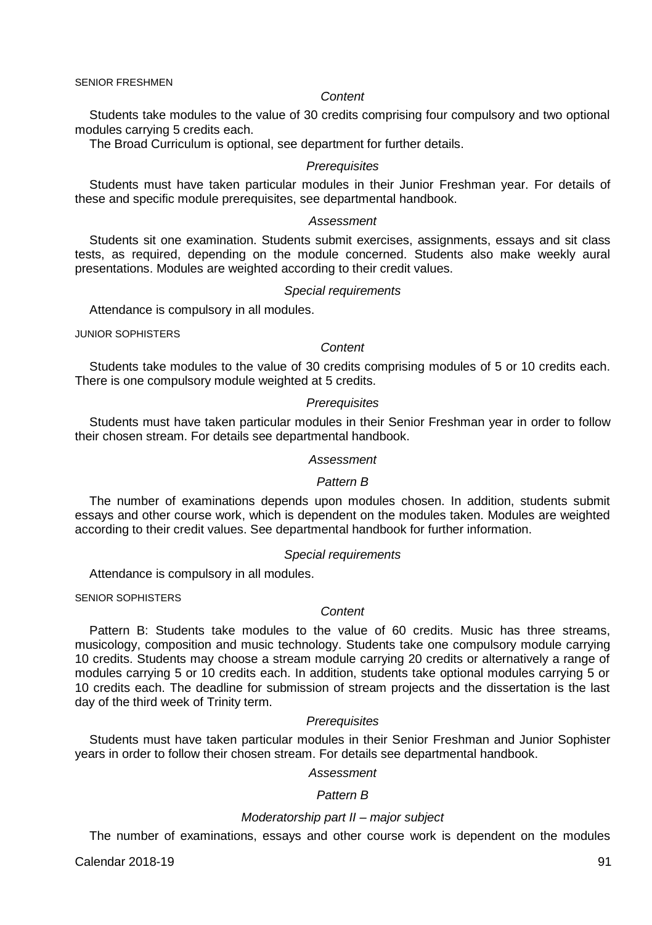#### *Content*

Students take modules to the value of 30 credits comprising four compulsory and two optional modules carrying 5 credits each.

The Broad Curriculum is optional, see department for further details.

#### *Prerequisites*

Students must have taken particular modules in their Junior Freshman year. For details of these and specific module prerequisites, see departmental handbook.

### *Assessment*

Students sit one examination. Students submit exercises, assignments, essays and sit class tests, as required, depending on the module concerned. Students also make weekly aural presentations. Modules are weighted according to their credit values.

### *Special requirements*

Attendance is compulsory in all modules.

JUNIOR SOPHISTERS

#### *Content*

Students take modules to the value of 30 credits comprising modules of 5 or 10 credits each. There is one compulsory module weighted at 5 credits.

#### *Prerequisites*

Students must have taken particular modules in their Senior Freshman year in order to follow their chosen stream. For details see departmental handbook.

#### *Assessment*

### *Pattern B*

The number of examinations depends upon modules chosen. In addition, students submit essays and other course work, which is dependent on the modules taken. Modules are weighted according to their credit values. See departmental handbook for further information.

#### *Special requirements*

Attendance is compulsory in all modules.

SENIOR SOPHISTERS

### *Content*

Pattern B: Students take modules to the value of 60 credits. Music has three streams, musicology, composition and music technology. Students take one compulsory module carrying 10 credits. Students may choose a stream module carrying 20 credits or alternatively a range of modules carrying 5 or 10 credits each. In addition, students take optional modules carrying 5 or 10 credits each. The deadline for submission of stream projects and the dissertation is the last day of the third week of Trinity term.

#### *Prerequisites*

Students must have taken particular modules in their Senior Freshman and Junior Sophister years in order to follow their chosen stream. For details see departmental handbook.

# *Assessment*

### *Pattern B*

#### *Moderatorship part II – major subject*

The number of examinations, essays and other course work is dependent on the modules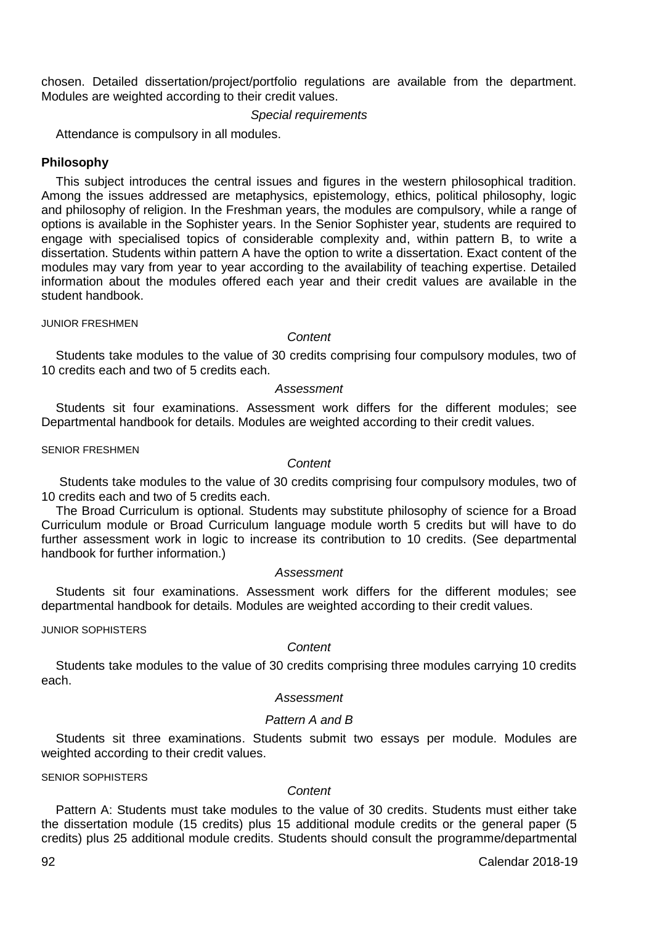chosen. Detailed dissertation/project/portfolio regulations are available from the department. Modules are weighted according to their credit values.

#### *Special requirements*

Attendance is compulsory in all modules.

### **Philosophy**

This subject introduces the central issues and figures in the western philosophical tradition. Among the issues addressed are metaphysics, epistemology, ethics, political philosophy, logic and philosophy of religion. In the Freshman years, the modules are compulsory, while a range of options is available in the Sophister years. In the Senior Sophister year, students are required to engage with specialised topics of considerable complexity and, within pattern B, to write a dissertation. Students within pattern A have the option to write a dissertation. Exact content of the modules may vary from year to year according to the availability of teaching expertise. Detailed information about the modules offered each year and their credit values are available in the student handbook.

#### JUNIOR FRESHMEN

#### *Content*

Students take modules to the value of 30 credits comprising four compulsory modules, two of 10 credits each and two of 5 credits each.

#### *Assessment*

Students sit four examinations. Assessment work differs for the different modules; see Departmental handbook for details. Modules are weighted according to their credit values.

SENIOR FRESHMEN

#### *Content*

Students take modules to the value of 30 credits comprising four compulsory modules, two of 10 credits each and two of 5 credits each.

The Broad Curriculum is optional. Students may substitute philosophy of science for a Broad Curriculum module or Broad Curriculum language module worth 5 credits but will have to do further assessment work in logic to increase its contribution to 10 credits. (See departmental handbook for further information.)

### *Assessment*

Students sit four examinations. Assessment work differs for the different modules; see departmental handbook for details. Modules are weighted according to their credit values.

### JUNIOR SOPHISTERS

#### *Content*

Students take modules to the value of 30 credits comprising three modules carrying 10 credits each.

### *Assessment*

### *Pattern A and B*

Students sit three examinations. Students submit two essays per module. Modules are weighted according to their credit values.

SENIOR SOPHISTERS

### *Content*

Pattern A: Students must take modules to the value of 30 credits. Students must either take the dissertation module (15 credits) plus 15 additional module credits or the general paper (5 credits) plus 25 additional module credits. Students should consult the programme/departmental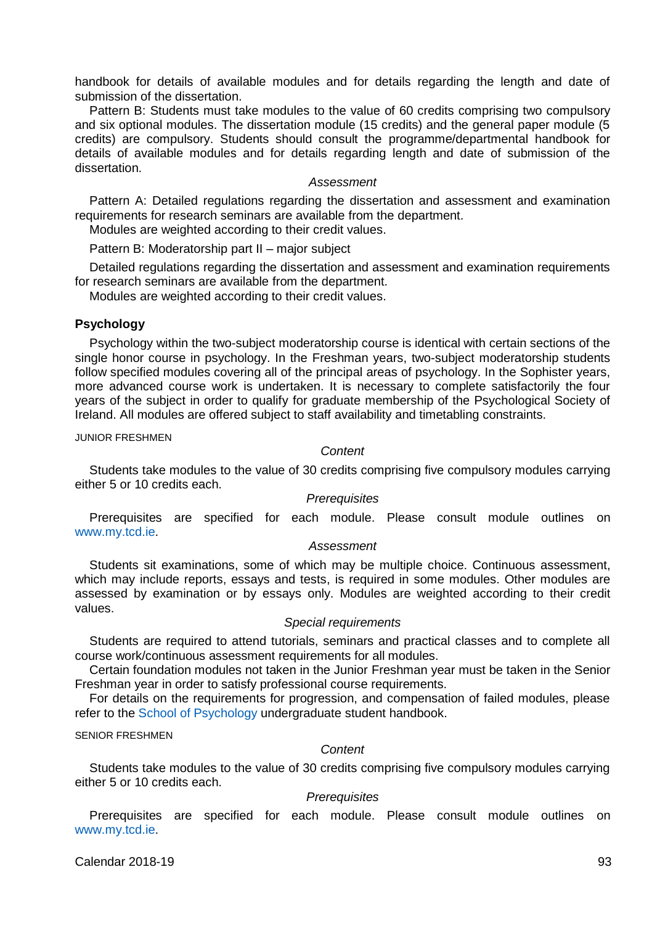handbook for details of available modules and for details regarding the length and date of submission of the dissertation.

Pattern B: Students must take modules to the value of 60 credits comprising two compulsory and six optional modules. The dissertation module (15 credits) and the general paper module (5 credits) are compulsory. Students should consult the programme/departmental handbook for details of available modules and for details regarding length and date of submission of the dissertation.

#### *Assessment*

Pattern A: Detailed regulations regarding the dissertation and assessment and examination requirements for research seminars are available from the department.

Modules are weighted according to their credit values.

Pattern B: Moderatorship part II – major subject

Detailed regulations regarding the dissertation and assessment and examination requirements for research seminars are available from the department.

Modules are weighted according to their credit values.

### **Psychology**

Psychology within the two-subject moderatorship course is identical with certain sections of the single honor course in psychology. In the Freshman years, two-subject moderatorship students follow specified modules covering all of the principal areas of psychology. In the Sophister years, more advanced course work is undertaken. It is necessary to complete satisfactorily the four years of the subject in order to qualify for graduate membership of the Psychological Society of Ireland. All modules are offered subject to staff availability and timetabling constraints.

JUNIOR FRESHMEN

#### *Content*

Students take modules to the value of 30 credits comprising five compulsory modules carrying either 5 or 10 credits each.

#### *Prerequisites*

Prerequisites are specified for each module. Please consult module outlines on [www.my.tcd.ie.](https://my.tcd.ie/)

### *Assessment*

Students sit examinations, some of which may be multiple choice. Continuous assessment, which may include reports, essays and tests, is required in some modules. Other modules are assessed by examination or by essays only. Modules are weighted according to their credit values.

### *Special requirements*

Students are required to attend tutorials, seminars and practical classes and to complete all course work/continuous assessment requirements for all modules.

Certain foundation modules not taken in the Junior Freshman year must be taken in the Senior Freshman year in order to satisfy professional course requirements.

For details on the requirements for progression, and compensation of failed modules, please refer to the [School of Psychology](http://psychology.tcd.ie/) undergraduate student handbook.

#### SENIOR FRESHMEN

#### *Content*

Students take modules to the value of 30 credits comprising five compulsory modules carrying either 5 or 10 credits each.

### *Prerequisites*

Prerequisites are specified for each module. Please consult module outlines on [www.my.tcd.ie.](https://my.tcd.ie/)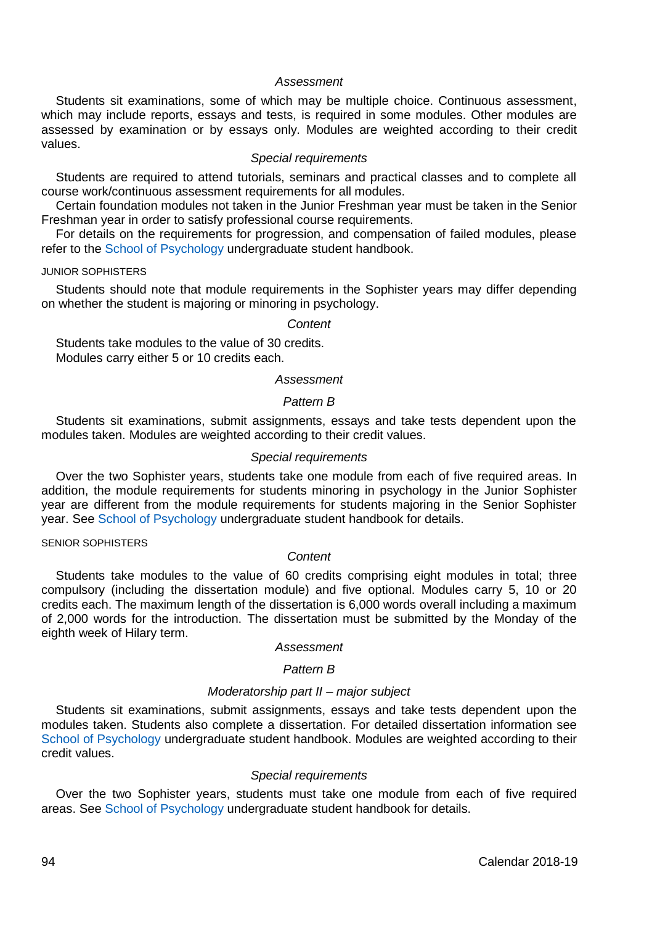Students sit examinations, some of which may be multiple choice. Continuous assessment, which may include reports, essays and tests, is required in some modules. Other modules are assessed by examination or by essays only. Modules are weighted according to their credit values.

#### *Special requirements*

Students are required to attend tutorials, seminars and practical classes and to complete all course work/continuous assessment requirements for all modules.

Certain foundation modules not taken in the Junior Freshman year must be taken in the Senior Freshman year in order to satisfy professional course requirements.

For details on the requirements for progression, and compensation of failed modules, please refer to the [School of Psychology](http://psychology.tcd.ie/) undergraduate student handbook.

#### JUNIOR SOPHISTERS

Students should note that module requirements in the Sophister years may differ depending on whether the student is majoring or minoring in psychology.

### *Content*

Students take modules to the value of 30 credits. Modules carry either 5 or 10 credits each.

#### *Assessment*

### *Pattern B*

Students sit examinations, submit assignments, essays and take tests dependent upon the modules taken. Modules are weighted according to their credit values.

### *Special requirements*

Over the two Sophister years, students take one module from each of five required areas. In addition, the module requirements for students minoring in psychology in the Junior Sophister year are different from the module requirements for students majoring in the Senior Sophister year. See [School of Psychology](http://psychology.tcd.ie/) undergraduate student handbook for details.

#### SENIOR SOPHISTERS

### *Content*

Students take modules to the value of 60 credits comprising eight modules in total; three compulsory (including the dissertation module) and five optional. Modules carry 5, 10 or 20 credits each. The maximum length of the dissertation is 6,000 words overall including a maximum of 2,000 words for the introduction. The dissertation must be submitted by the Monday of the eighth week of Hilary term.

### *Assessment*

#### *Pattern B*

### *Moderatorship part II – major subject*

Students sit examinations, submit assignments, essays and take tests dependent upon the modules taken. Students also complete a dissertation. For detailed dissertation information see [School of Psychology](http://psychology.tcd.ie/) undergraduate student handbook. Modules are weighted according to their credit values.

#### *Special requirements*

Over the two Sophister years, students must take one module from each of five required areas. Se[e School of Psychology](http://psychology.tcd.ie/) undergraduate student handbook for details.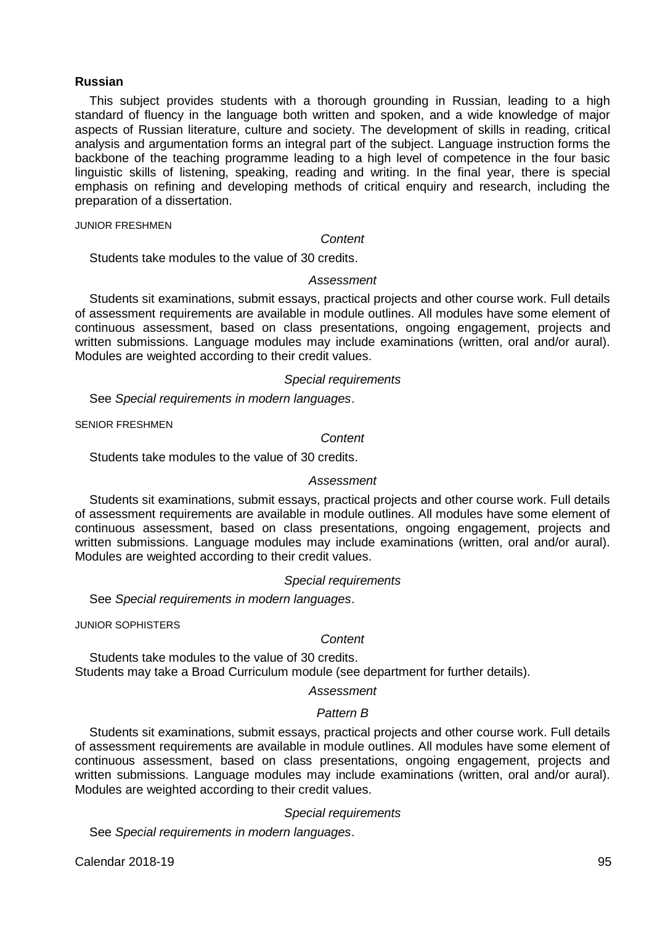### **Russian**

This subject provides students with a thorough grounding in Russian, leading to a high standard of fluency in the language both written and spoken, and a wide knowledge of major aspects of Russian literature, culture and society. The development of skills in reading, critical analysis and argumentation forms an integral part of the subject. Language instruction forms the backbone of the teaching programme leading to a high level of competence in the four basic linguistic skills of listening, speaking, reading and writing. In the final year, there is special emphasis on refining and developing methods of critical enquiry and research, including the preparation of a dissertation.

JUNIOR FRESHMEN

#### *Content*

Students take modules to the value of 30 credits.

### *Assessment*

Students sit examinations, submit essays, practical projects and other course work. Full details of assessment requirements are available in module outlines. All modules have some element of continuous assessment, based on class presentations, ongoing engagement, projects and written submissions. Language modules may include examinations (written, oral and/or aural). Modules are weighted according to their credit values.

### *Special requirements*

See *Special requirements in modern languages*.

SENIOR FRESHMEN

#### *Content*

Students take modules to the value of 30 credits.

### *Assessment*

Students sit examinations, submit essays, practical projects and other course work. Full details of assessment requirements are available in module outlines. All modules have some element of continuous assessment, based on class presentations, ongoing engagement, projects and written submissions. Language modules may include examinations (written, oral and/or aural). Modules are weighted according to their credit values.

#### *Special requirements*

See *Special requirements in modern languages*.

JUNIOR SOPHISTERS

### *Content*

Students take modules to the value of 30 credits. Students may take a Broad Curriculum module (see department for further details).

# *Assessment*

#### *Pattern B*

Students sit examinations, submit essays, practical projects and other course work. Full details of assessment requirements are available in module outlines. All modules have some element of continuous assessment, based on class presentations, ongoing engagement, projects and written submissions. Language modules may include examinations (written, oral and/or aural). Modules are weighted according to their credit values.

### *Special requirements*

See *Special requirements in modern languages*.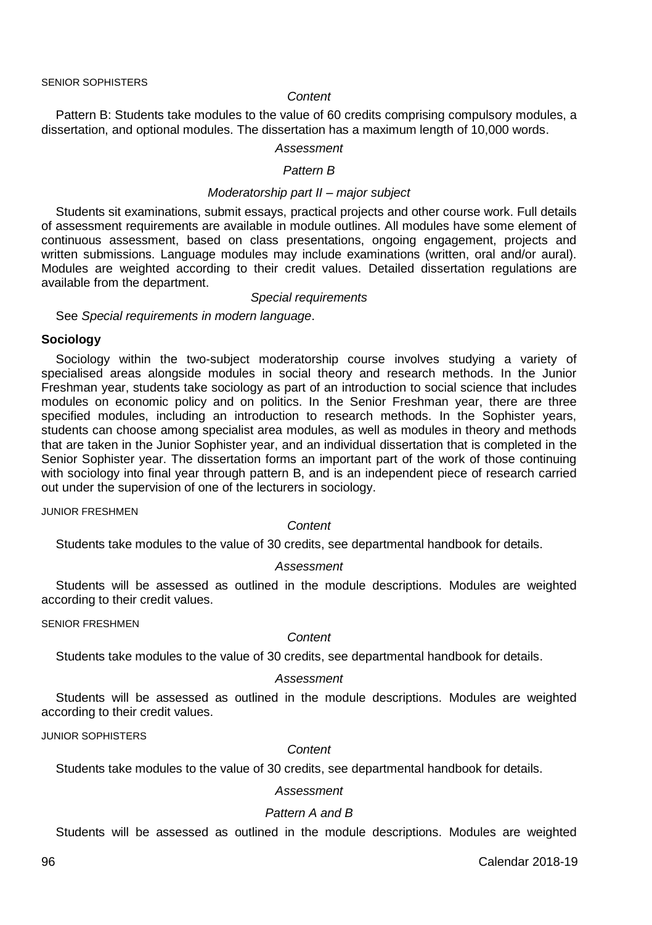#### *Content*

Pattern B: Students take modules to the value of 60 credits comprising compulsory modules, a dissertation, and optional modules. The dissertation has a maximum length of 10,000 words.

### *Assessment*

### *Pattern B*

### *Moderatorship part II – major subject*

Students sit examinations, submit essays, practical projects and other course work. Full details of assessment requirements are available in module outlines. All modules have some element of continuous assessment, based on class presentations, ongoing engagement, projects and written submissions. Language modules may include examinations (written, oral and/or aural). Modules are weighted according to their credit values. Detailed dissertation regulations are available from the department.

### *Special requirements*

See *Special requirements in modern language*.

#### **Sociology**

Sociology within the two-subject moderatorship course involves studying a variety of specialised areas alongside modules in social theory and research methods. In the Junior Freshman year, students take sociology as part of an introduction to social science that includes modules on economic policy and on politics. In the Senior Freshman year, there are three specified modules, including an introduction to research methods. In the Sophister years, students can choose among specialist area modules, as well as modules in theory and methods that are taken in the Junior Sophister year, and an individual dissertation that is completed in the Senior Sophister year. The dissertation forms an important part of the work of those continuing with sociology into final year through pattern B, and is an independent piece of research carried out under the supervision of one of the lecturers in sociology.

JUNIOR FRESHMEN

*Content*

Students take modules to the value of 30 credits, see departmental handbook for details.

#### *Assessment*

Students will be assessed as outlined in the module descriptions. Modules are weighted according to their credit values.

SENIOR FRESHMEN

#### *Content*

Students take modules to the value of 30 credits, see departmental handbook for details.

#### *Assessment*

Students will be assessed as outlined in the module descriptions. Modules are weighted according to their credit values.

JUNIOR SOPHISTERS

#### *Content*

Students take modules to the value of 30 credits, see departmental handbook for details.

# *Assessment*

### *Pattern A and B*

Students will be assessed as outlined in the module descriptions. Modules are weighted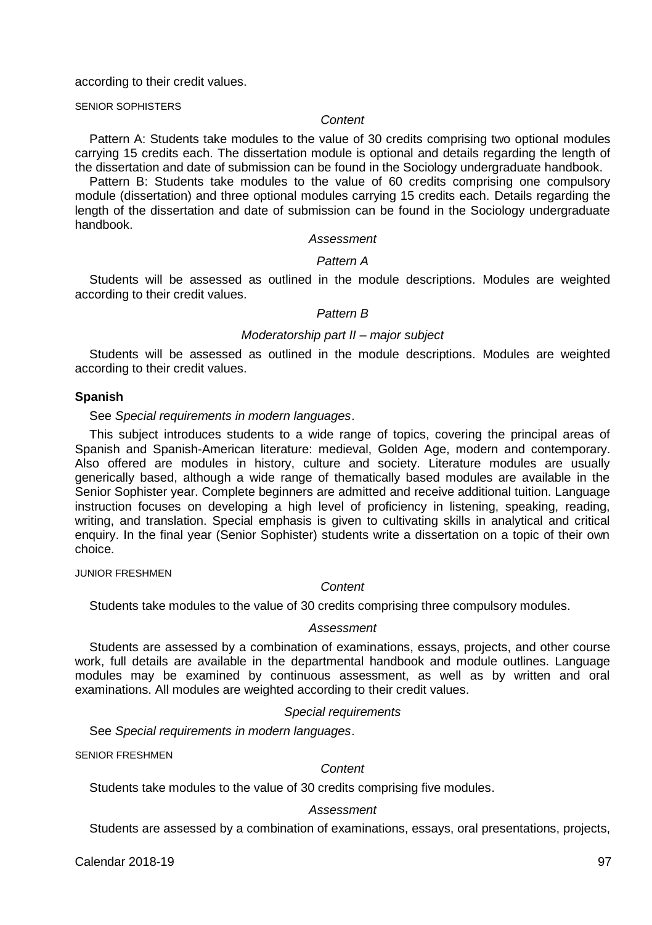according to their credit values.

SENIOR SOPHISTERS

### *Content*

Pattern A: Students take modules to the value of 30 credits comprising two optional modules carrying 15 credits each. The dissertation module is optional and details regarding the length of the dissertation and date of submission can be found in the Sociology undergraduate handbook.

Pattern B: Students take modules to the value of 60 credits comprising one compulsory module (dissertation) and three optional modules carrying 15 credits each. Details regarding the length of the dissertation and date of submission can be found in the Sociology undergraduate handbook.

#### *Assessment*

### *Pattern A*

Students will be assessed as outlined in the module descriptions. Modules are weighted according to their credit values.

#### *Pattern B*

### *Moderatorship part II – major subject*

Students will be assessed as outlined in the module descriptions. Modules are weighted according to their credit values.

#### **Spanish**

See *Special requirements in modern languages*.

This subject introduces students to a wide range of topics, covering the principal areas of Spanish and Spanish-American literature: medieval, Golden Age, modern and contemporary. Also offered are modules in history, culture and society. Literature modules are usually generically based, although a wide range of thematically based modules are available in the Senior Sophister year. Complete beginners are admitted and receive additional tuition. Language instruction focuses on developing a high level of proficiency in listening, speaking, reading, writing, and translation. Special emphasis is given to cultivating skills in analytical and critical enquiry. In the final year (Senior Sophister) students write a dissertation on a topic of their own choice.

### JUNIOR FRESHMEN

### *Content*

Students take modules to the value of 30 credits comprising three compulsory modules.

#### *Assessment*

Students are assessed by a combination of examinations, essays, projects, and other course work, full details are available in the departmental handbook and module outlines. Language modules may be examined by continuous assessment, as well as by written and oral examinations. All modules are weighted according to their credit values.

### *Special requirements*

See *Special requirements in modern languages*.

SENIOR FRESHMEN

### *Content*

Students take modules to the value of 30 credits comprising five modules.

#### *Assessment*

Students are assessed by a combination of examinations, essays, oral presentations, projects,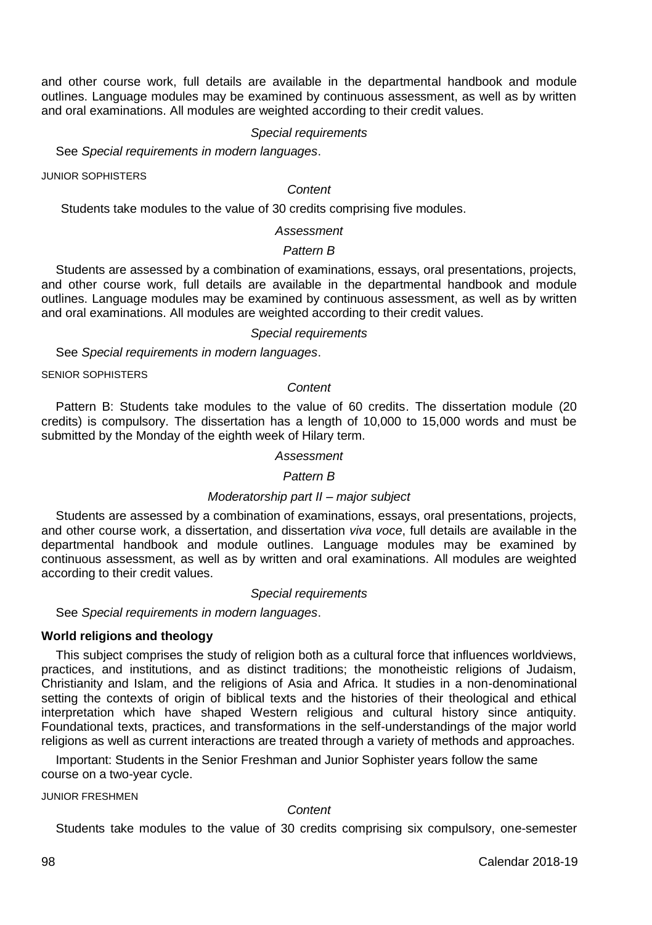and other course work, full details are available in the departmental handbook and module outlines. Language modules may be examined by continuous assessment, as well as by written and oral examinations. All modules are weighted according to their credit values.

### *Special requirements*

See *Special requirements in modern languages*.

JUNIOR SOPHISTERS

#### *Content*

Students take modules to the value of 30 credits comprising five modules.

#### *Assessment*

### *Pattern B*

Students are assessed by a combination of examinations, essays, oral presentations, projects, and other course work, full details are available in the departmental handbook and module outlines. Language modules may be examined by continuous assessment, as well as by written and oral examinations. All modules are weighted according to their credit values.

### *Special requirements*

See *Special requirements in modern languages*.

SENIOR SOPHISTERS

#### *Content*

Pattern B: Students take modules to the value of 60 credits. The dissertation module (20 credits) is compulsory. The dissertation has a length of 10,000 to 15,000 words and must be submitted by the Monday of the eighth week of Hilary term.

#### *Assessment*

### *Pattern B*

#### *Moderatorship part II – major subject*

Students are assessed by a combination of examinations, essays, oral presentations, projects, and other course work, a dissertation, and dissertation *viva voce*, full details are available in the departmental handbook and module outlines. Language modules may be examined by continuous assessment, as well as by written and oral examinations. All modules are weighted according to their credit values.

#### *Special requirements*

See *Special requirements in modern languages*.

### **World religions and theology**

This subject comprises the study of religion both as a cultural force that influences worldviews, practices, and institutions, and as distinct traditions; the monotheistic religions of Judaism, Christianity and Islam, and the religions of Asia and Africa. It studies in a non-denominational setting the contexts of origin of biblical texts and the histories of their theological and ethical interpretation which have shaped Western religious and cultural history since antiquity. Foundational texts, practices, and transformations in the self-understandings of the major world religions as well as current interactions are treated through a variety of methods and approaches.

Important: Students in the Senior Freshman and Junior Sophister years follow the same course on a two-year cycle.

JUNIOR FRESHMEN

#### *Content*

Students take modules to the value of 30 credits comprising six compulsory, one-semester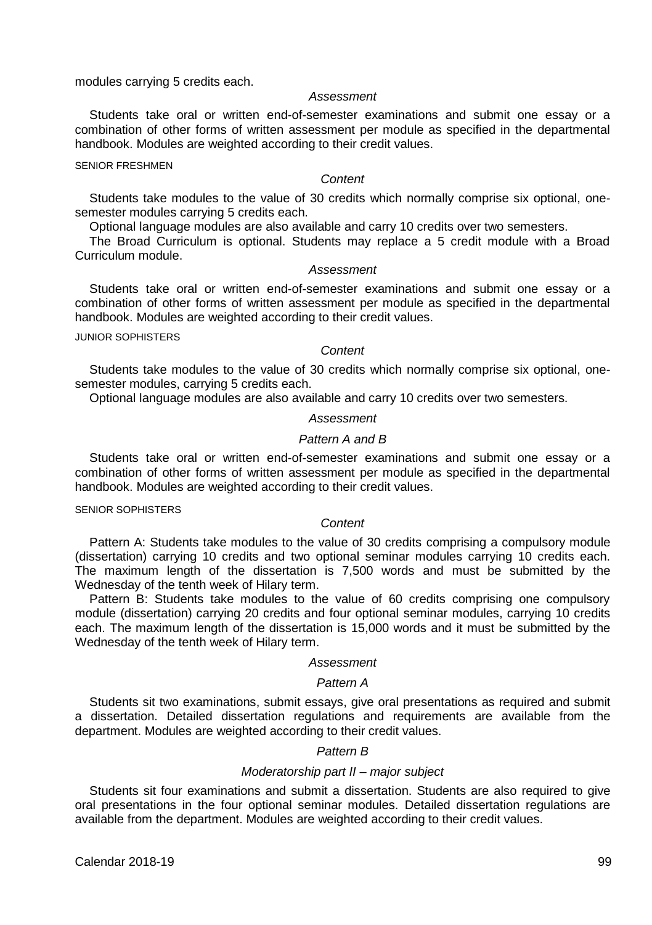modules carrying 5 credits each.

#### *Assessment*

Students take oral or written end-of-semester examinations and submit one essay or a combination of other forms of written assessment per module as specified in the departmental handbook. Modules are weighted according to their credit values.

#### SENIOR FRESHMEN

#### *Content*

Students take modules to the value of 30 credits which normally comprise six optional, onesemester modules carrying 5 credits each.

Optional language modules are also available and carry 10 credits over two semesters.

The Broad Curriculum is optional. Students may replace a 5 credit module with a Broad Curriculum module.

### *Assessment*

Students take oral or written end-of-semester examinations and submit one essay or a combination of other forms of written assessment per module as specified in the departmental handbook. Modules are weighted according to their credit values.

JUNIOR SOPHISTERS

#### *Content*

Students take modules to the value of 30 credits which normally comprise six optional, onesemester modules, carrying 5 credits each.

Optional language modules are also available and carry 10 credits over two semesters.

### *Assessment*

### *Pattern A and B*

Students take oral or written end-of-semester examinations and submit one essay or a combination of other forms of written assessment per module as specified in the departmental handbook. Modules are weighted according to their credit values.

#### SENIOR SOPHISTERS

### *Content*

Pattern A: Students take modules to the value of 30 credits comprising a compulsory module (dissertation) carrying 10 credits and two optional seminar modules carrying 10 credits each. The maximum length of the dissertation is 7,500 words and must be submitted by the Wednesday of the tenth week of Hilary term.

Pattern B: Students take modules to the value of 60 credits comprising one compulsory module (dissertation) carrying 20 credits and four optional seminar modules, carrying 10 credits each. The maximum length of the dissertation is 15,000 words and it must be submitted by the Wednesday of the tenth week of Hilary term.

### *Assessment*

### *Pattern A*

Students sit two examinations, submit essays, give oral presentations as required and submit a dissertation. Detailed dissertation regulations and requirements are available from the department. Modules are weighted according to their credit values.

### *Pattern B*

### *Moderatorship part II – major subject*

Students sit four examinations and submit a dissertation. Students are also required to give oral presentations in the four optional seminar modules. Detailed dissertation regulations are available from the department. Modules are weighted according to their credit values.